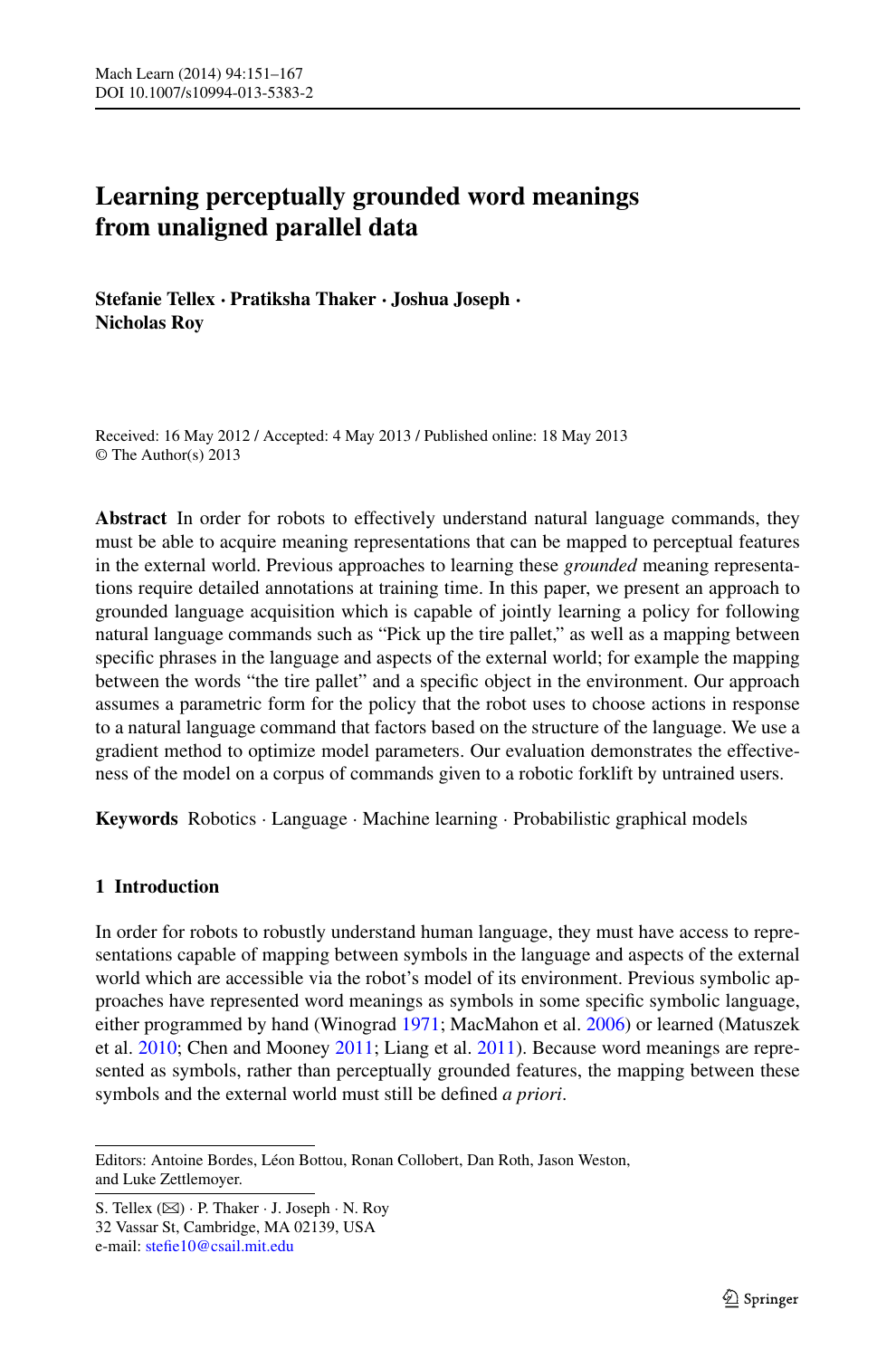# **Learning perceptually grounded word meanings from unaligned parallel data**

**Stefanie Tellex · Pratiksha Thaker · Joshua Joseph · Nicholas Roy**

Received: 16 May 2012 / Accepted: 4 May 2013 / Published online: 18 May 2013 © The Author(s) 2013

**Abstract** In order for robots to effectively understand natural language commands, they must be able to acquire meaning representations that can be mapped to perceptual features in the external world. Previous approaches to learning these *grounded* meaning representations require detailed annotations at training time. In this paper, we present an approach to grounded language acquisition which is capable of jointly learning a policy for following natural language commands such as "Pick up the tire pallet," as well as a mapping between specific phrases in the language and aspects of the external world; for example the mapping between the words "the tire pallet" and a specific object in the environment. Our approach assumes a parametric form for the policy that the robot uses to choose actions in response to a natural language command that factors based on the structure of the language. We use a gradient method to optimize model parameters. Our evaluation demonstrates the effectiveness of the model on a corpus of commands given to a robotic forklift by untrained users.

**Keywords** Robotics · Language · Machine learning · Probabilistic graphical models

## **1 Introduction**

In order for robots to robustly understand human language, they must have access to representations capable of mapping between symbols in the language and aspects of the external world which are accessible via the robot's model of its environment. Previous symbolic approaches have represented word meanings as symbols in some specific symbolic language, either programmed by hand (Winograd [1971;](#page-16-0) MacMahon et al. [2006\)](#page-16-1) or learned (Matuszek et al. [2010;](#page-16-2) Chen and Mooney [2011](#page-15-0); Liang et al. [2011](#page-16-3)). Because word meanings are represented as symbols, rather than perceptually grounded features, the mapping between these symbols and the external world must still be defined *a priori*.

Editors: Antoine Bordes, Léon Bottou, Ronan Collobert, Dan Roth, Jason Weston, and Luke Zettlemoyer.

S. Tellex ( $\boxtimes$ ) · P. Thaker · J. Joseph · N. Roy

<sup>32</sup> Vassar St, Cambridge, MA 02139, USA

e-mail: [stefie10@csail.mit.edu](mailto:stefie10@csail.mit.edu)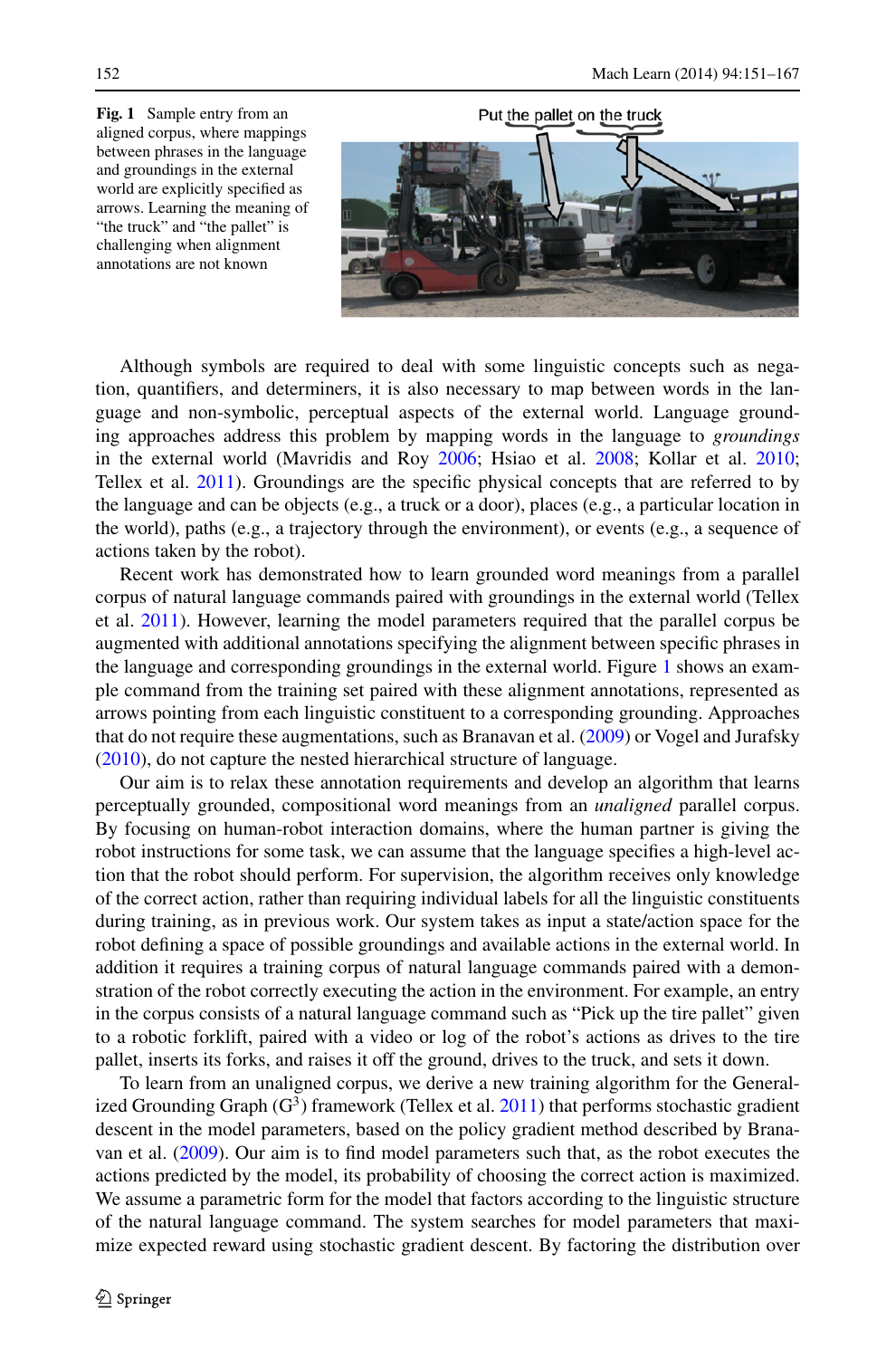<span id="page-1-0"></span>annotations are not known



Although symbols are required to deal with some linguistic concepts such as negation, quantifiers, and determiners, it is also necessary to map between words in the language and non-symbolic, perceptual aspects of the external world. Language grounding approaches address this problem by mapping words in the language to *groundings* in the external world (Mavridis and Roy [2006;](#page-16-4) Hsiao et al. [2008](#page-15-1); Kollar et al. [2010;](#page-15-2) Tellex et al. [2011](#page-16-5)). Groundings are the specific physical concepts that are referred to by the language and can be objects (e.g., a truck or a door), places (e.g., a particular location in the world), paths (e.g., a trajectory through the environment), or events (e.g., a sequence of actions taken by the robot).

Recent work has demonstrated how to learn grounded word meanings from a parallel corpus of natural language commands paired with groundings in the external world (Tellex et al. [2011](#page-16-5)). However, learning the model parameters required that the parallel corpus be augmented with additional annotations specifying the alignment between specific phrases in the language and corresponding groundings in the external world. Figure [1](#page-1-0) shows an example command from the training set paired with these alignment annotations, represented as arrows pointing from each linguistic constituent to a corresponding grounding. Approaches that do not require these augmentations, such as Branavan et al. [\(2009](#page-15-3)) or Vogel and Jurafsky ([2010\)](#page-16-6), do not capture the nested hierarchical structure of language.

Our aim is to relax these annotation requirements and develop an algorithm that learns perceptually grounded, compositional word meanings from an *unaligned* parallel corpus. By focusing on human-robot interaction domains, where the human partner is giving the robot instructions for some task, we can assume that the language specifies a high-level action that the robot should perform. For supervision, the algorithm receives only knowledge of the correct action, rather than requiring individual labels for all the linguistic constituents during training, as in previous work. Our system takes as input a state/action space for the robot defining a space of possible groundings and available actions in the external world. In addition it requires a training corpus of natural language commands paired with a demonstration of the robot correctly executing the action in the environment. For example, an entry in the corpus consists of a natural language command such as "Pick up the tire pallet" given to a robotic forklift, paired with a video or log of the robot's actions as drives to the tire pallet, inserts its forks, and raises it off the ground, drives to the truck, and sets it down.

To learn from an unaligned corpus, we derive a new training algorithm for the Generalized Grounding Graph  $(G^3)$  framework (Tellex et al. [2011](#page-16-5)) that performs stochastic gradient descent in the model parameters, based on the policy gradient method described by Branavan et al. [\(2009](#page-15-3)). Our aim is to find model parameters such that, as the robot executes the actions predicted by the model, its probability of choosing the correct action is maximized. We assume a parametric form for the model that factors according to the linguistic structure of the natural language command. The system searches for model parameters that maximize expected reward using stochastic gradient descent. By factoring the distribution over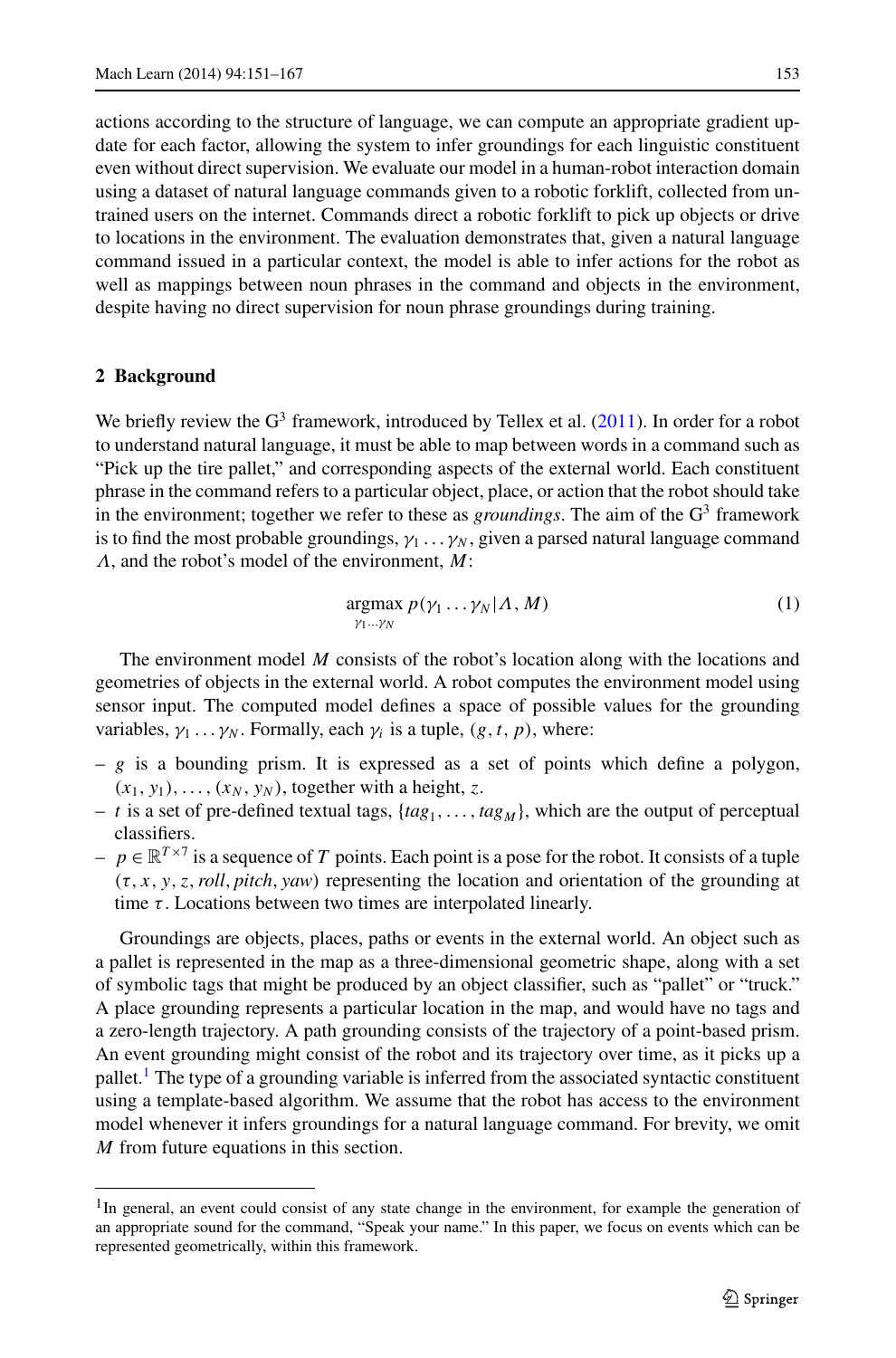<span id="page-2-2"></span>actions according to the structure of language, we can compute an appropriate gradient update for each factor, allowing the system to infer groundings for each linguistic constituent even without direct supervision. We evaluate our model in a human-robot interaction domain using a dataset of natural language commands given to a robotic forklift, collected from untrained users on the internet. Commands direct a robotic forklift to pick up objects or drive to locations in the environment. The evaluation demonstrates that, given a natural language command issued in a particular context, the model is able to infer actions for the robot as well as mappings between noun phrases in the command and objects in the environment, despite having no direct supervision for noun phrase groundings during training.

## **2 Background**

We briefly review the  $G<sup>3</sup>$  framework, introduced by Tellex et al. [\(2011](#page-16-5)). In order for a robot to understand natural language, it must be able to map between words in a command such as "Pick up the tire pallet," and corresponding aspects of the external world. Each constituent phrase in the command refers to a particular object, place, or action that the robot should take in the environment; together we refer to these as *groundings*. The aim of the  $G<sup>3</sup>$  framework is to find the most probable groundings,  $\gamma_1 \dots \gamma_N$ , given a parsed natural language command *Λ*, and the robot's model of the environment, *M*:

<span id="page-2-1"></span>
$$
\underset{\gamma_1 \dots \gamma_N}{\text{argmax}} \ p(\gamma_1 \dots \gamma_N | \Lambda, M) \tag{1}
$$

The environment model *M* consists of the robot's location along with the locations and geometries of objects in the external world. A robot computes the environment model using sensor input. The computed model defines a space of possible values for the grounding variables,  $\gamma_1 \dots \gamma_N$ . Formally, each  $\gamma_i$  is a tuple,  $(g, t, p)$ , where:

- $-g$  is a bounding prism. It is expressed as a set of points which define a polygon,  $(x_1, y_1), \ldots, (x_N, y_N)$ , together with a height, *z*.
- $t$  is a set of pre-defined textual tags,  $\{tag_1, \ldots, tag_M\}$ , which are the output of perceptual classifiers.
- $p \in \mathbb{R}^{T \times T}$  is a sequence of *T* points. Each point is a pose for the robot. It consists of a tuple *(τ,x,y,z,roll, pitch, yaw)* representing the location and orientation of the grounding at time *τ* . Locations between two times are interpolated linearly.

<span id="page-2-0"></span>Groundings are objects, places, paths or events in the external world. An object such as a pallet is represented in the map as a three-dimensional geometric shape, along with a set of symbolic tags that might be produced by an object classifier, such as "pallet" or "truck." A place grounding represents a particular location in the map, and would have no tags and a zero-length trajectory. A path grounding consists of the trajectory of a point-based prism. An event grounding might consist of the robot and its trajectory over time, as it picks up a pallet.<sup>1</sup> The type of a grounding variable is inferred from the associated syntactic constituent using a template-based algorithm. We assume that the robot has access to the environment model whenever it infers groundings for a natural language command. For brevity, we omit *M* from future equations in this section.

<sup>&</sup>lt;sup>1</sup>In general, an event could consist of any state change in the environment, for example the generation of an appropriate sound for the command, "Speak your name." In this paper, we focus on events which can be represented geometrically, within this framework.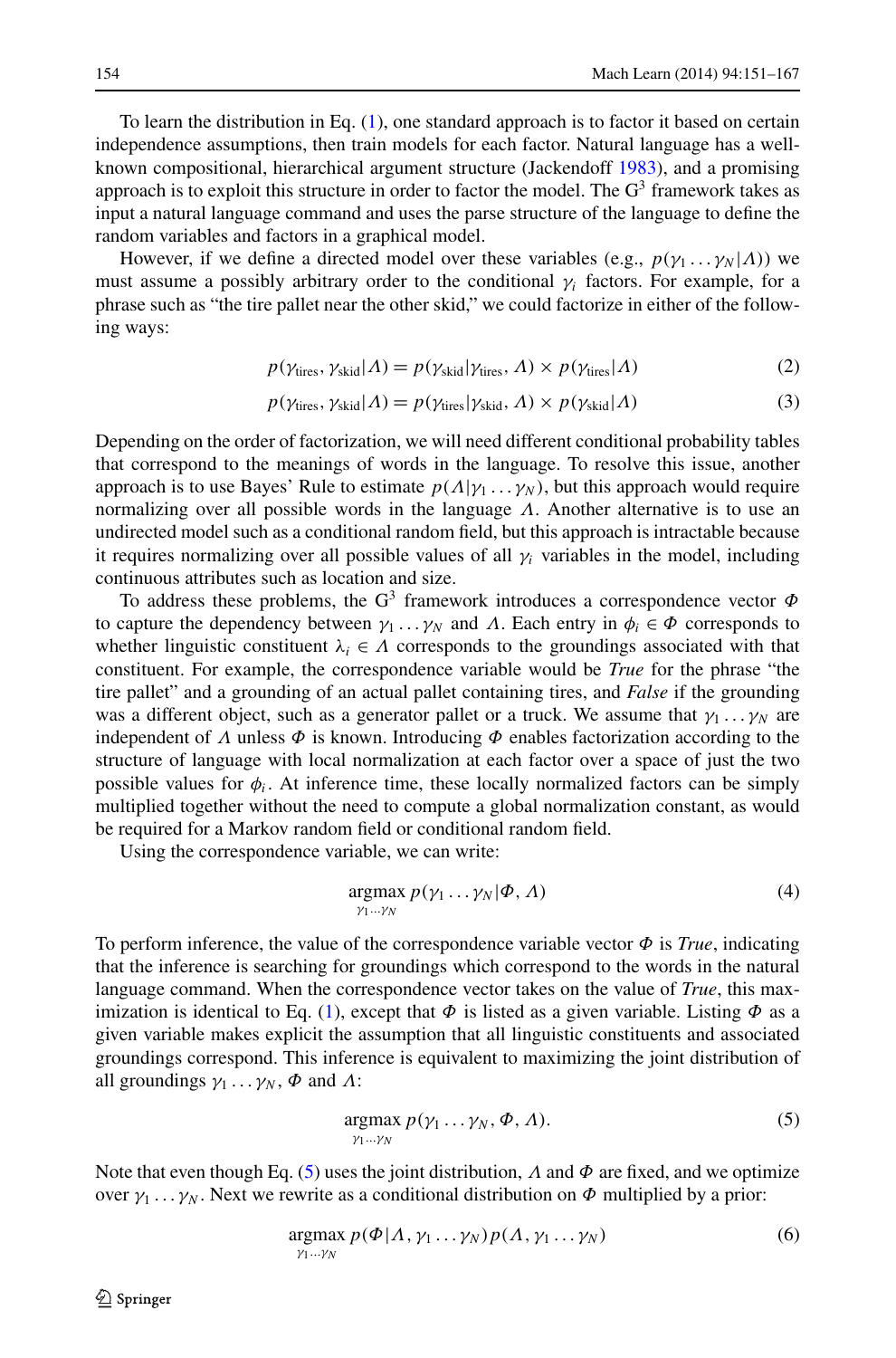To learn the distribution in Eq.  $(1)$ , one standard approach is to factor it based on certain independence assumptions, then train models for each factor. Natural language has a wellknown compositional, hierarchical argument structure (Jackendoff [1983](#page-15-4)), and a promising approach is to exploit this structure in order to factor the model. The  $G<sup>3</sup>$  framework takes as input a natural language command and uses the parse structure of the language to define the random variables and factors in a graphical model.

However, if we define a directed model over these variables (e.g.,  $p(\gamma_1 \dots \gamma_N|A)$ ) we must assume a possibly arbitrary order to the conditional  $\gamma_i$  factors. For example, for a phrase such as "the tire pallet near the other skid," we could factorize in either of the following ways:

$$
p(\gamma_{\text{tires}}, \gamma_{\text{skid}} | \Lambda) = p(\gamma_{\text{skid}} | \gamma_{\text{tires}}, \Lambda) \times p(\gamma_{\text{tires}} | \Lambda)
$$
 (2)

$$
p(\gamma_{\text{tires}}, \gamma_{\text{skid}} | \Lambda) = p(\gamma_{\text{tires}} | \gamma_{\text{skid}}, \Lambda) \times p(\gamma_{\text{skid}} | \Lambda)
$$
 (3)

Depending on the order of factorization, we will need different conditional probability tables that correspond to the meanings of words in the language. To resolve this issue, another approach is to use Bayes' Rule to estimate  $p(A|y_1 \dots y_N)$ , but this approach would require normalizing over all possible words in the language *Λ*. Another alternative is to use an undirected model such as a conditional random field, but this approach is intractable because it requires normalizing over all possible values of all  $\gamma_i$  variables in the model, including continuous attributes such as location and size.

To address these problems, the  $G^3$  framework introduces a correspondence vector  $\Phi$ to capture the dependency between  $\gamma_1 \dots \gamma_N$  and  $\Lambda$ . Each entry in  $\phi_i \in \Phi$  corresponds to whether linguistic constituent  $\lambda_i \in \Lambda$  corresponds to the groundings associated with that constituent. For example, the correspondence variable would be *True* for the phrase "the tire pallet" and a grounding of an actual pallet containing tires, and *False* if the grounding was a different object, such as a generator pallet or a truck. We assume that  $\gamma_1 \dots \gamma_N$  are independent of  $\Lambda$  unless  $\Phi$  is known. Introducing  $\Phi$  enables factorization according to the structure of language with local normalization at each factor over a space of just the two possible values for  $\phi_i$ . At inference time, these locally normalized factors can be simply multiplied together without the need to compute a global normalization constant, as would be required for a Markov random field or conditional random field.

Using the correspondence variable, we can write:

<span id="page-3-0"></span>
$$
\underset{\gamma_1 \dots \gamma_N}{\text{argmax}} \ p(\gamma_1 \dots \gamma_N | \Phi, \Lambda) \tag{4}
$$

To perform inference, the value of the correspondence variable vector *Φ* is *True*, indicating that the inference is searching for groundings which correspond to the words in the natural language command. When the correspondence vector takes on the value of *True*, this max-imization is identical to Eq. [\(1\)](#page-2-1), except that  $\Phi$  is listed as a given variable. Listing  $\Phi$  as a given variable makes explicit the assumption that all linguistic constituents and associated groundings correspond. This inference is equivalent to maximizing the joint distribution of all groundings  $\gamma_1 \dots \gamma_N$ ,  $\Phi$  and  $\Lambda$ :

$$
\underset{\gamma_1 \dots \gamma_N}{\text{argmax}} \ p(\gamma_1 \dots \gamma_N, \Phi, \Lambda). \tag{5}
$$

Note that even though Eq. [\(5](#page-3-0)) uses the joint distribution, *Λ* and *Φ* are fixed, and we optimize over  $\gamma_1 \dots \gamma_N$ . Next we rewrite as a conditional distribution on  $\Phi$  multiplied by a prior:

$$
\underset{\gamma_1 \dots \gamma_N}{\text{argmax}} \ p(\Phi | \Lambda, \gamma_1 \dots \gamma_N) p(\Lambda, \gamma_1 \dots \gamma_N) \tag{6}
$$

 $\mathcal{D}$  Springer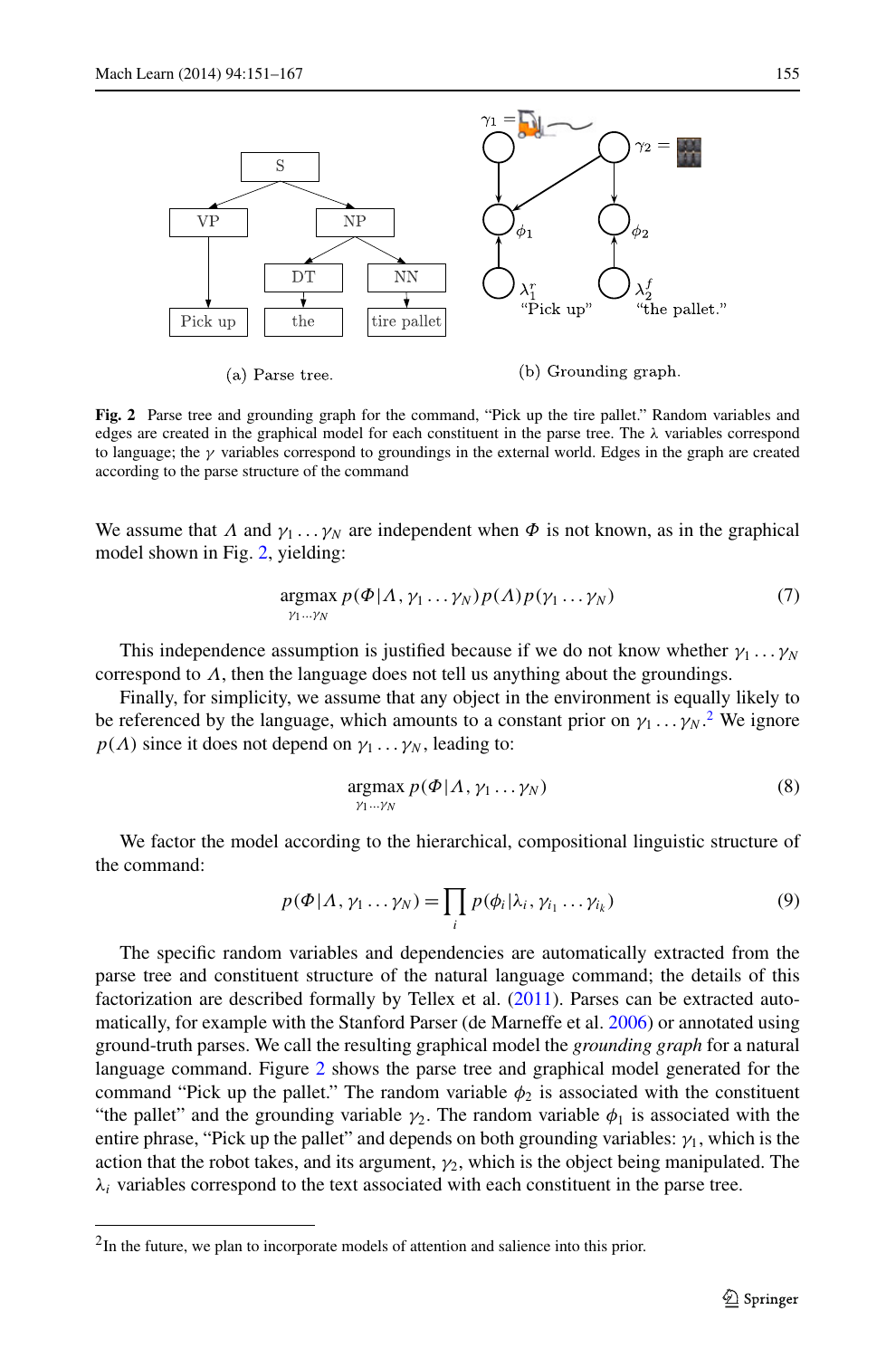

<span id="page-4-0"></span>**Fig. 2** Parse tree and grounding graph for the command, "Pick up the tire pallet." Random variables and edges are created in the graphical model for each constituent in the parse tree. The *λ* variables correspond to language; the *γ* variables correspond to groundings in the external world. Edges in the graph are created according to the parse structure of the command

We assume that *Λ* and  $\gamma_1 \dots \gamma_N$  are independent when  $\Phi$  is not known, as in the graphical model shown in Fig. [2,](#page-4-0) yielding:

$$
\underset{\gamma_1 \dots \gamma_N}{\text{argmax}} \ p(\Phi | \Lambda, \gamma_1 \dots \gamma_N) p(\Lambda) p(\gamma_1 \dots \gamma_N) \tag{7}
$$

This independence assumption is justified because if we do not know whether  $\gamma_1 \dots \gamma_N$ correspond to  $\Lambda$ , then the language does not tell us anything about the groundings.

Finally, for simplicity, we assume that any object in the environment is equally likely to be referenced by the language, which amounts to a constant prior on  $\gamma_1 \dots \gamma_N$ <sup>[2](#page-4-1)</sup> We ignore *p*( $\Lambda$ ) since it does not depend on  $\gamma_1 \dots \gamma_N$ , leading to:

<span id="page-4-3"></span><span id="page-4-2"></span>
$$
\underset{\gamma_1 \dots \gamma_N}{\text{argmax}} \ p(\Phi | \Lambda, \gamma_1 \dots \gamma_N) \tag{8}
$$

We factor the model according to the hierarchical, compositional linguistic structure of the command:

$$
p(\Phi|A, \gamma_1 \dots \gamma_N) = \prod_i p(\phi_i | \lambda_i, \gamma_{i_1} \dots \gamma_{i_k})
$$
\n(9)

<span id="page-4-1"></span>The specific random variables and dependencies are automatically extracted from the parse tree and constituent structure of the natural language command; the details of this factorization are described formally by Tellex et al. [\(2011](#page-16-5)). Parses can be extracted automatically, for example with the Stanford Parser (de Marneffe et al. [2006\)](#page-15-5) or annotated using ground-truth parses. We call the resulting graphical model the *grounding graph* for a natural language command. Figure [2](#page-4-0) shows the parse tree and graphical model generated for the command "Pick up the pallet." The random variable  $\phi_2$  is associated with the constituent "the pallet" and the grounding variable  $\gamma_2$ . The random variable  $\phi_1$  is associated with the entire phrase, "Pick up the pallet" and depends on both grounding variables:  $\gamma_1$ , which is the action that the robot takes, and its argument,  $\gamma_2$ , which is the object being manipulated. The  $\lambda_i$  variables correspond to the text associated with each constituent in the parse tree.

 $2$ In the future, we plan to incorporate models of attention and salience into this prior.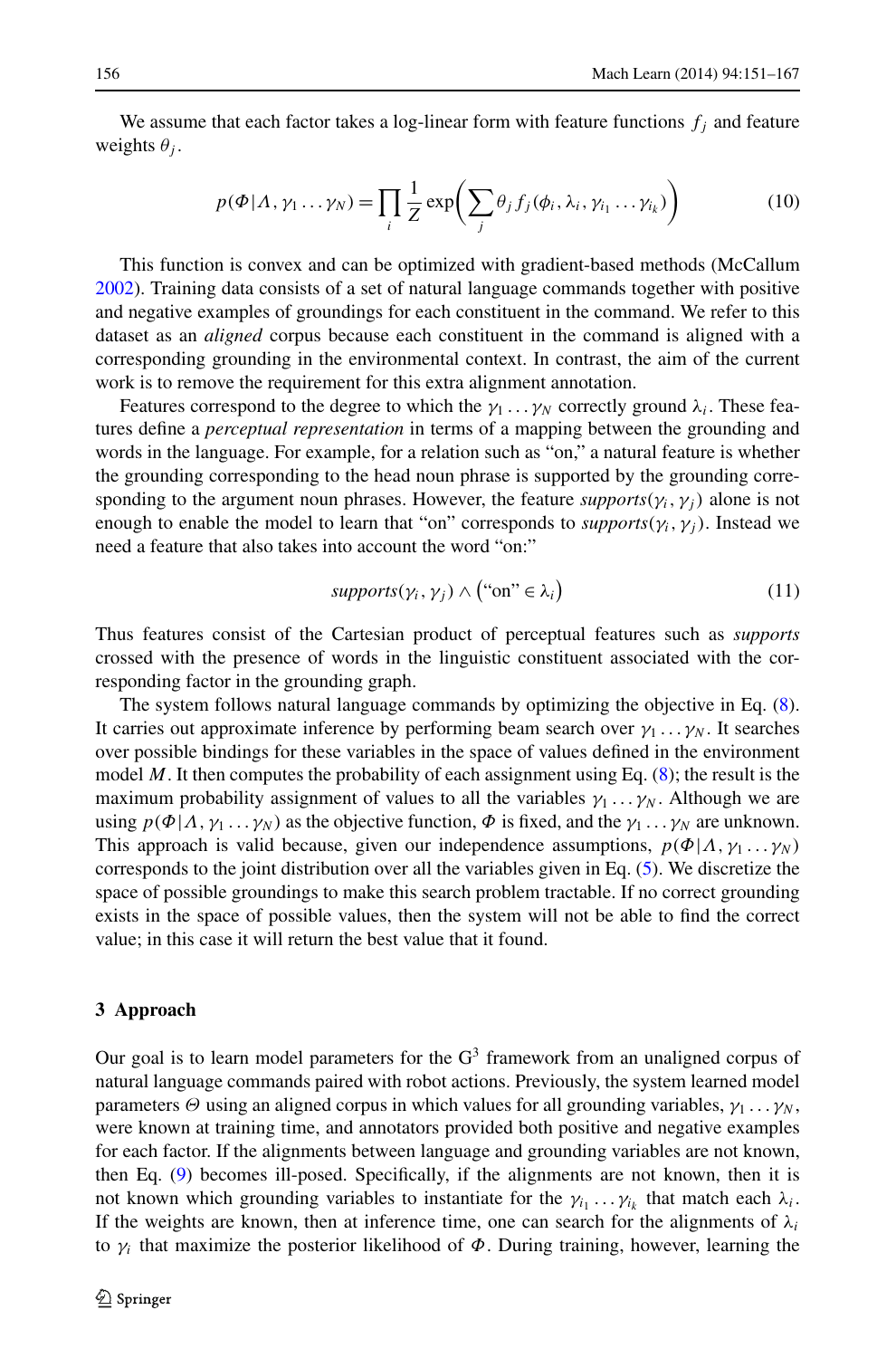We assume that each factor takes a log-linear form with feature functions  $f_i$  and feature weights  $\theta_i$ .

<span id="page-5-1"></span>
$$
p(\Phi|A, \gamma_1 \dots \gamma_N) = \prod_i \frac{1}{Z} \exp\left(\sum_j \theta_j f_j(\phi_i, \lambda_i, \gamma_1 \dots \gamma_k)\right)
$$
(10)

This function is convex and can be optimized with gradient-based methods (McCallum [2002\)](#page-16-7). Training data consists of a set of natural language commands together with positive and negative examples of groundings for each constituent in the command. We refer to this dataset as an *aligned* corpus because each constituent in the command is aligned with a corresponding grounding in the environmental context. In contrast, the aim of the current work is to remove the requirement for this extra alignment annotation.

Features correspond to the degree to which the  $\gamma_1 \dots \gamma_N$  correctly ground  $\lambda_i$ . These features define a *perceptual representation* in terms of a mapping between the grounding and words in the language. For example, for a relation such as "on," a natural feature is whether the grounding corresponding to the head noun phrase is supported by the grounding corresponding to the argument noun phrases. However, the feature *supports* $(y_i, y_j)$  alone is not enough to enable the model to learn that "on" corresponds to *supports* $(\gamma_i, \gamma_j)$ . Instead we need a feature that also takes into account the word "on:"

$$
supports(\gamma_i, \gamma_j) \land ("on" \in \lambda_i)
$$
\n(11)

Thus features consist of the Cartesian product of perceptual features such as *supports* crossed with the presence of words in the linguistic constituent associated with the corresponding factor in the grounding graph.

<span id="page-5-0"></span>The system follows natural language commands by optimizing the objective in Eq. [\(8](#page-4-2)). It carries out approximate inference by performing beam search over  $\gamma_1 \dots \gamma_N$ . It searches over possible bindings for these variables in the space of values defined in the environment model *M*. It then computes the probability of each assignment using Eq. [\(8\)](#page-4-2); the result is the maximum probability assignment of values to all the variables  $\gamma_1 \dots \gamma_N$ . Although we are using  $p(\Phi|A, \gamma_1 \dots \gamma_N)$  as the objective function,  $\Phi$  is fixed, and the  $\gamma_1 \dots \gamma_N$  are unknown. This approach is valid because, given our independence assumptions,  $p(\Phi | A, \gamma_1 \dots \gamma_N)$ corresponds to the joint distribution over all the variables given in Eq. [\(5\)](#page-3-0). We discretize the space of possible groundings to make this search problem tractable. If no correct grounding exists in the space of possible values, then the system will not be able to find the correct value; in this case it will return the best value that it found.

## **3 Approach**

Our goal is to learn model parameters for the  $G<sup>3</sup>$  framework from an unaligned corpus of natural language commands paired with robot actions. Previously, the system learned model parameters  $\Theta$  using an aligned corpus in which values for all grounding variables,  $\gamma_1 \dots \gamma_N$ , were known at training time, and annotators provided both positive and negative examples for each factor. If the alignments between language and grounding variables are not known, then Eq. ([9](#page-4-3)) becomes ill-posed. Specifically, if the alignments are not known, then it is not known which grounding variables to instantiate for the  $\gamma_i$ ,  $\ldots$ ,  $\gamma_i$  that match each  $\lambda_i$ . If the weights are known, then at inference time, one can search for the alignments of  $\lambda_i$ to *γi* that maximize the posterior likelihood of *Φ*. During training, however, learning the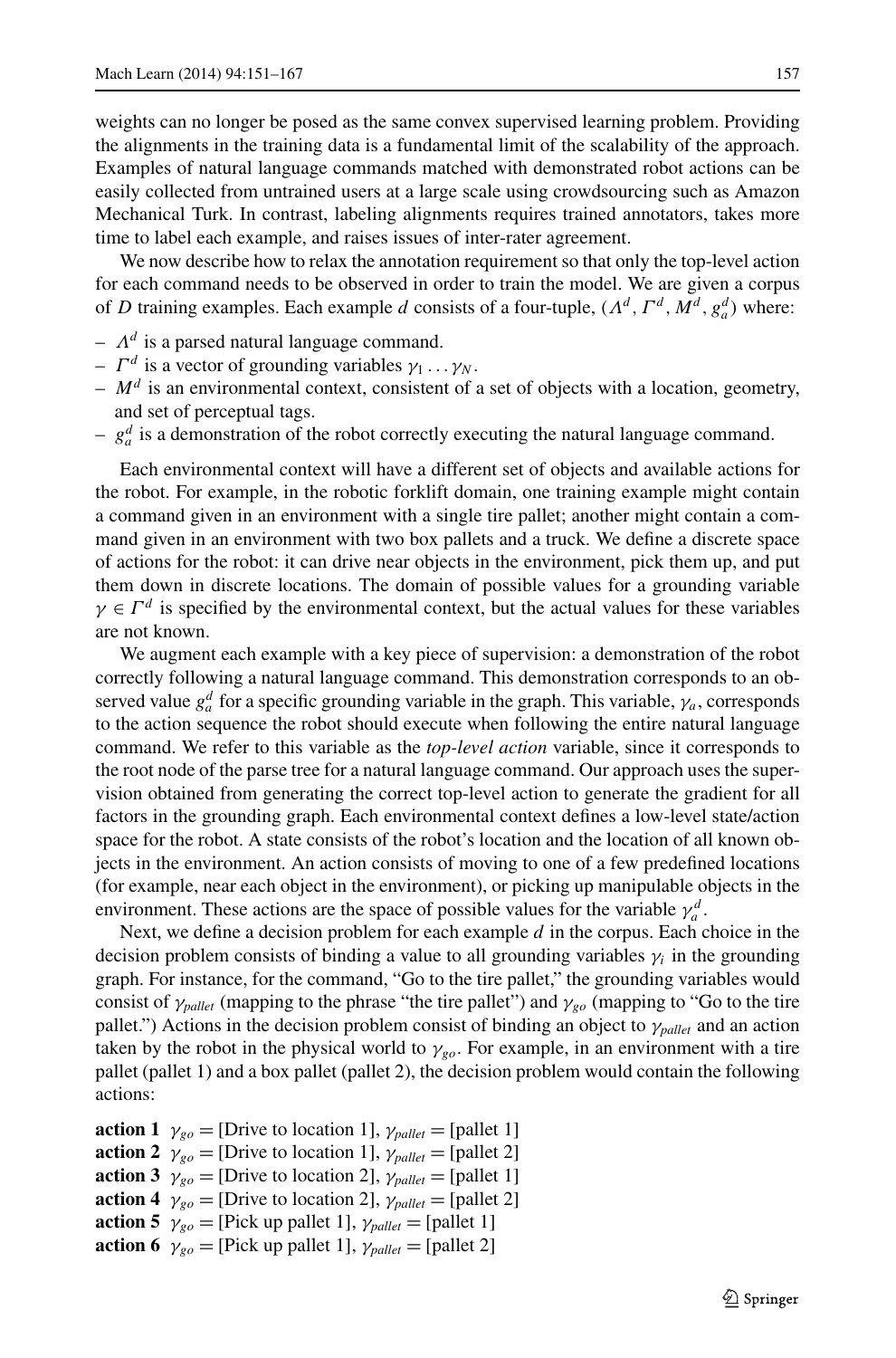weights can no longer be posed as the same convex supervised learning problem. Providing the alignments in the training data is a fundamental limit of the scalability of the approach. Examples of natural language commands matched with demonstrated robot actions can be easily collected from untrained users at a large scale using crowdsourcing such as Amazon Mechanical Turk. In contrast, labeling alignments requires trained annotators, takes more time to label each example, and raises issues of inter-rater agreement.

We now describe how to relax the annotation requirement so that only the top-level action for each command needs to be observed in order to train the model. We are given a corpus of *D* training examples. Each example *d* consists of a four-tuple, *(Λ<sup>d</sup> ,Γ <sup>d</sup> ,M<sup>d</sup> ,g<sup>d</sup> <sup>a</sup> )* where:

- $\Lambda^d$  is a parsed natural language command.
- $-I^d$  is a vector of grounding variables  $\gamma_1 \dots \gamma_N$ .
- $-M<sup>d</sup>$  is an environmental context, consistent of a set of objects with a location, geometry, and set of perceptual tags.
- $g_a^d$  is a demonstration of the robot correctly executing the natural language command.

Each environmental context will have a different set of objects and available actions for the robot. For example, in the robotic forklift domain, one training example might contain a command given in an environment with a single tire pallet; another might contain a command given in an environment with two box pallets and a truck. We define a discrete space of actions for the robot: it can drive near objects in the environment, pick them up, and put them down in discrete locations. The domain of possible values for a grounding variable  $\gamma \in \Gamma^d$  is specified by the environmental context, but the actual values for these variables are not known.

We augment each example with a key piece of supervision: a demonstration of the robot correctly following a natural language command. This demonstration corresponds to an observed value  $g_a^d$  for a specific grounding variable in the graph. This variable,  $\gamma_a$ , corresponds to the action sequence the robot should execute when following the entire natural language command. We refer to this variable as the *top-level action* variable, since it corresponds to the root node of the parse tree for a natural language command. Our approach uses the supervision obtained from generating the correct top-level action to generate the gradient for all factors in the grounding graph. Each environmental context defines a low-level state/action space for the robot. A state consists of the robot's location and the location of all known objects in the environment. An action consists of moving to one of a few predefined locations (for example, near each object in the environment), or picking up manipulable objects in the environment. These actions are the space of possible values for the variable  $\gamma_a^d$ .

Next, we define a decision problem for each example *d* in the corpus. Each choice in the decision problem consists of binding a value to all grounding variables  $\gamma_i$  in the grounding graph. For instance, for the command, "Go to the tire pallet," the grounding variables would consist of  $\gamma_{pallet}$  (mapping to the phrase "the tire pallet") and  $\gamma_{go}$  (mapping to "Go to the tire pallet.") Actions in the decision problem consist of binding an object to *γpallet* and an action taken by the robot in the physical world to  $\gamma_{go}$ . For example, in an environment with a tire pallet (pallet 1) and a box pallet (pallet 2), the decision problem would contain the following actions:

**action 1**  $\gamma_{go}$  = [Drive to location 1],  $\gamma_{pallet}$  = [pallet 1] **action 2**  $\gamma_{go}$  = [Drive to location 1],  $\gamma_{paller}$  = [pallet 2] **action 3**  $\gamma_{go}$  = [Drive to location 2],  $\gamma_{pallet}$  = [pallet 1] **action 4**  $\gamma_{go} =$  [Drive to location 2],  $\gamma_{pallet} =$  [pallet 2] **action 5**  $\gamma_{go}$  = [Pick up pallet 1],  $\gamma_{pallet}$  = [pallet 1] **action 6**  $\gamma_{go}$  = [Pick up pallet 1],  $\gamma_{pallet}$  = [pallet 2]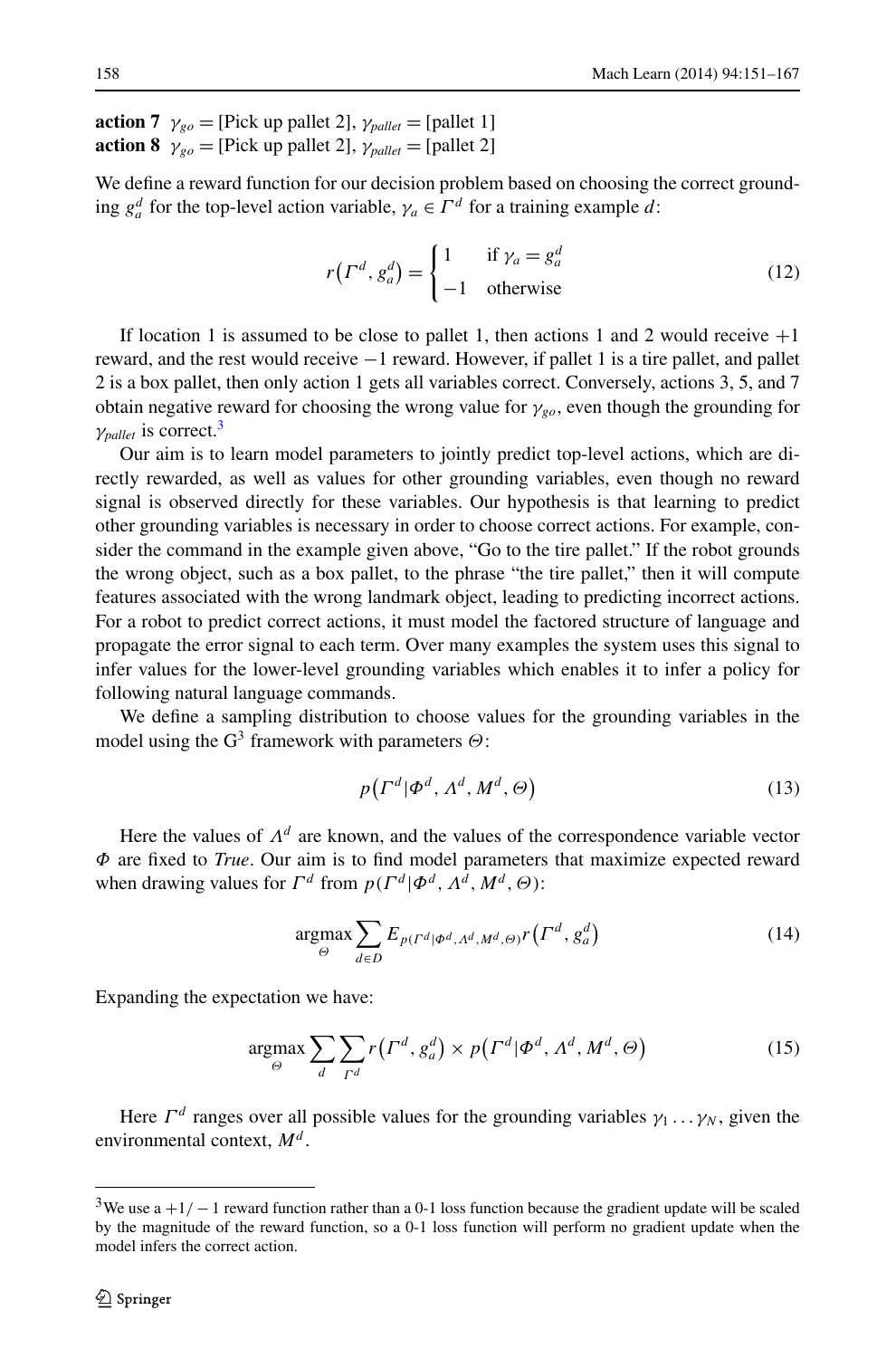**action 7**  $\gamma_{go}$  = [Pick up pallet 2],  $\gamma_{pallet}$  = [pallet 1] **action 8**  $\gamma_{go}$  = [Pick up pallet 2],  $\gamma_{pallet}$  = [pallet 2]

We define a reward function for our decision problem based on choosing the correct grounding  $g_a^d$  for the top-level action variable,  $\gamma_a \in \Gamma^d$  for a training example *d*:

$$
r\left(\Gamma^d, g_a^d\right) = \begin{cases} 1 & \text{if } \gamma_a = g_a^d \\ -1 & \text{otherwise} \end{cases} \tag{12}
$$

If location 1 is assumed to be close to pallet 1, then actions 1 and 2 would receive  $+1$ reward, and the rest would receive −1 reward. However, if pallet 1 is a tire pallet, and pallet 2 is a box pallet, then only action 1 gets all variables correct. Conversely, actions 3, 5, and 7 obtain negative reward for choosing the wrong value for  $\gamma_{g0}$ , even though the grounding for *γpallet* is correct.[3](#page-7-0)

Our aim is to learn model parameters to jointly predict top-level actions, which are directly rewarded, as well as values for other grounding variables, even though no reward signal is observed directly for these variables. Our hypothesis is that learning to predict other grounding variables is necessary in order to choose correct actions. For example, consider the command in the example given above, "Go to the tire pallet." If the robot grounds the wrong object, such as a box pallet, to the phrase "the tire pallet," then it will compute features associated with the wrong landmark object, leading to predicting incorrect actions. For a robot to predict correct actions, it must model the factored structure of language and propagate the error signal to each term. Over many examples the system uses this signal to infer values for the lower-level grounding variables which enables it to infer a policy for following natural language commands.

We define a sampling distribution to choose values for the grounding variables in the model using the G<sup>3</sup> framework with parameters *Θ*:

$$
p\big(\Gamma^d|\Phi^d,\Lambda^d,M^d,\Theta\big) \tag{13}
$$

Here the values of  $\Lambda^d$  are known, and the values of the correspondence variable vector *Φ* are fixed to *True*. Our aim is to find model parameters that maximize expected reward when drawing values for  $\Gamma^d$  from  $p(\Gamma^d | \Phi^d, \Lambda^d, M^d, \Theta)$ :

$$
\underset{\Theta}{\operatorname{argmax}} \sum_{d \in D} E_{p(\Gamma^d | \Phi^d, \Lambda^d, M^d, \Theta)} r(\Gamma^d, g^d_a) \tag{14}
$$

<span id="page-7-0"></span>Expanding the expectation we have:

$$
\underset{\Theta}{\text{argmax}} \sum_{d} \sum_{\Gamma^d} r(\Gamma^d, g_d^d) \times p(\Gamma^d | \Phi^d, \Lambda^d, M^d, \Theta) \tag{15}
$$

Here  $\Gamma^d$  ranges over all possible values for the grounding variables  $\gamma_1 \dots \gamma_N$ , given the environmental context, *M<sup>d</sup>* .

<sup>&</sup>lt;sup>3</sup>We use a +1/ − 1 reward function rather than a 0-1 loss function because the gradient update will be scaled by the magnitude of the reward function, so a 0-1 loss function will perform no gradient update when the model infers the correct action.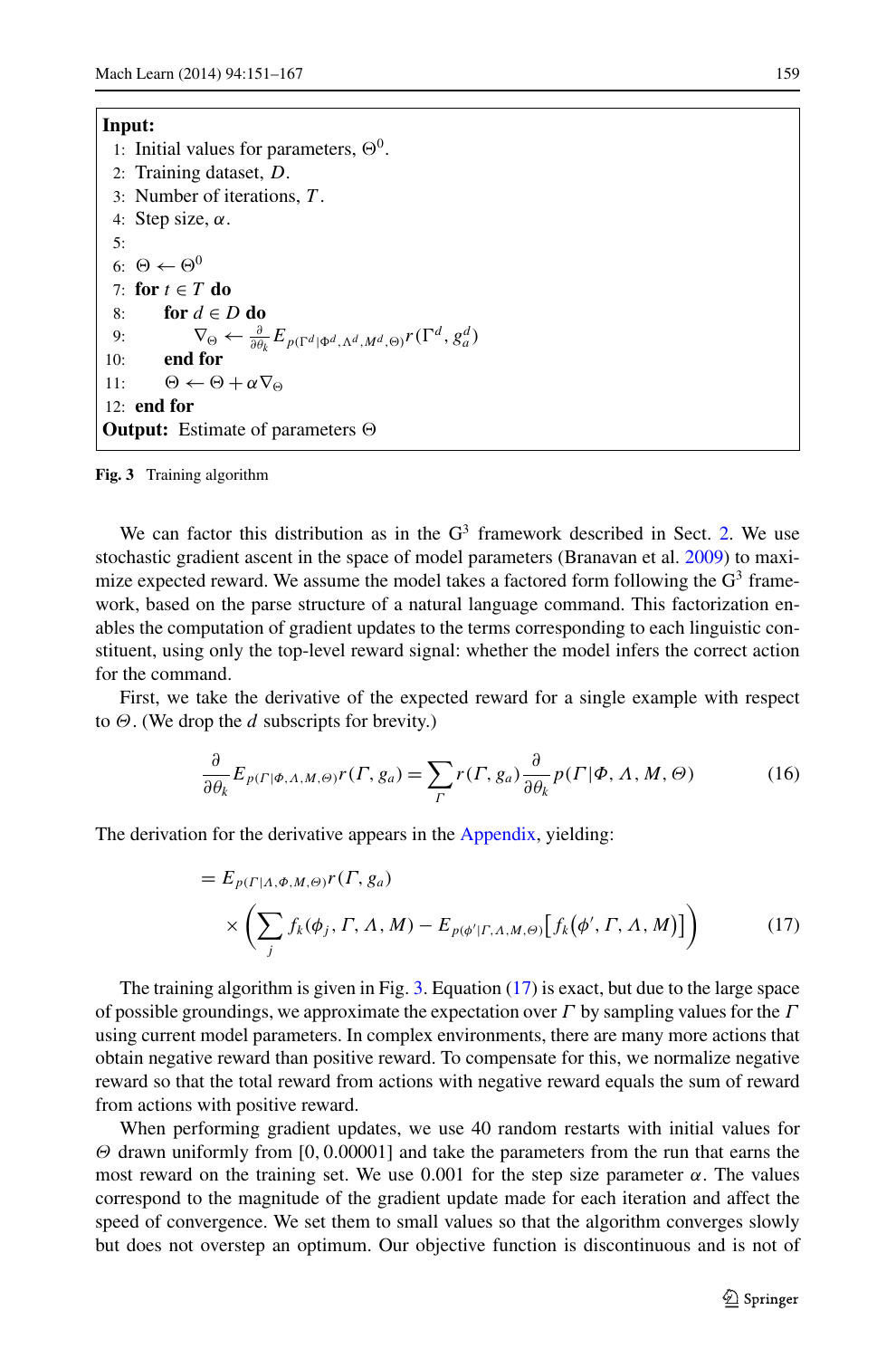## **Input:**

```
1: Initial values for parameters, \Theta^0.
 2: Training dataset, D.
 3: Number of iterations, T .
 4: Step size, α.
 5:
 6: \Theta \leftarrow \Theta^07: for t \in T do
 8: for d \in D do
  9: \nabla_{\Theta} \leftarrow \frac{\partial}{\partial \theta_k} E_{p(\Gamma^d | \Phi^d, \Lambda^d, M^d, \Theta)} r(\Gamma^d, g^d_a)10: end for
11: \Theta \leftarrow \Theta + \alpha \nabla_{\Theta}12: end for
Output: Estimate of parameters \Theta
```
**Fig. 3** Training algorithm

We can factor this distribution as in the  $G<sup>3</sup>$  framework described in Sect. [2.](#page-2-2) We use stochastic gradient ascent in the space of model parameters (Branavan et al. [2009](#page-15-3)) to maximize expected reward. We assume the model takes a factored form following the  $G<sup>3</sup>$  framework, based on the parse structure of a natural language command. This factorization enables the computation of gradient updates to the terms corresponding to each linguistic constituent, using only the top-level reward signal: whether the model infers the correct action for the command.

First, we take the derivative of the expected reward for a single example with respect to *Θ*. (We drop the *d* subscripts for brevity.)

<span id="page-8-1"></span>
$$
\frac{\partial}{\partial \theta_k} E_{p(\Gamma|\Phi,\Lambda,M,\Theta)} r(\Gamma,g_a) = \sum_{\Gamma} r(\Gamma,g_a) \frac{\partial}{\partial \theta_k} p(\Gamma|\Phi,\Lambda,M,\Theta) \tag{16}
$$

The derivation for the derivative appears in the [Appendix](#page-14-0), yielding:

$$
= E_{p(\Gamma|A,\Phi,M,\Theta)}r(\Gamma,g_a)
$$

$$
\times \left(\sum_j f_k(\phi_j,\Gamma,\Lambda,M) - E_{p(\phi'|\Gamma,\Lambda,M,\Theta)}[f_k(\phi',\Gamma,\Lambda,M)]\right)
$$
(17)

The training algorithm is given in Fig. [3.](#page-8-0) Equation [\(17\)](#page-8-1) is exact, but due to the large space of possible groundings, we approximate the expectation over *Γ* by sampling values for the *Γ* using current model parameters. In complex environments, there are many more actions that obtain negative reward than positive reward. To compensate for this, we normalize negative reward so that the total reward from actions with negative reward equals the sum of reward from actions with positive reward.

When performing gradient updates, we use 40 random restarts with initial values for *Θ* drawn uniformly from [0*,* 0*.*00001] and take the parameters from the run that earns the most reward on the training set. We use  $0.001$  for the step size parameter  $\alpha$ . The values correspond to the magnitude of the gradient update made for each iteration and affect the speed of convergence. We set them to small values so that the algorithm converges slowly but does not overstep an optimum. Our objective function is discontinuous and is not of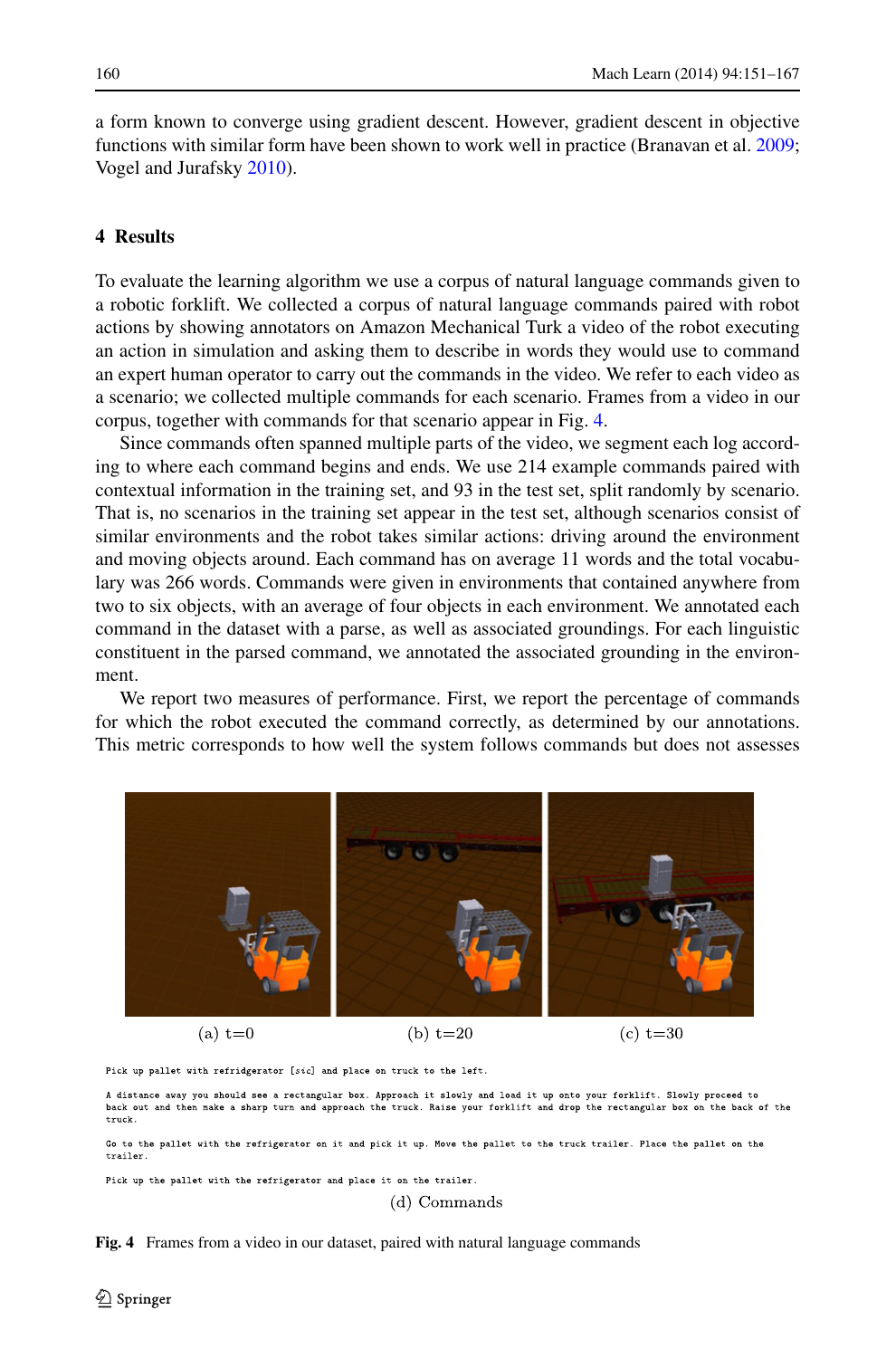a form known to converge using gradient descent. However, gradient descent in objective functions with similar form have been shown to work well in practice (Branavan et al. [2009;](#page-15-3) Vogel and Jurafsky [2010](#page-16-6)).

## **4 Results**

To evaluate the learning algorithm we use a corpus of natural language commands given to a robotic forklift. We collected a corpus of natural language commands paired with robot actions by showing annotators on Amazon Mechanical Turk a video of the robot executing an action in simulation and asking them to describe in words they would use to command an expert human operator to carry out the commands in the video. We refer to each video as a scenario; we collected multiple commands for each scenario. Frames from a video in our corpus, together with commands for that scenario appear in Fig. [4](#page-9-0).

Since commands often spanned multiple parts of the video, we segment each log according to where each command begins and ends. We use 214 example commands paired with contextual information in the training set, and 93 in the test set, split randomly by scenario. That is, no scenarios in the training set appear in the test set, although scenarios consist of similar environments and the robot takes similar actions: driving around the environment and moving objects around. Each command has on average 11 words and the total vocabulary was 266 words. Commands were given in environments that contained anywhere from two to six objects, with an average of four objects in each environment. We annotated each command in the dataset with a parse, as well as associated groundings. For each linguistic constituent in the parsed command, we annotated the associated grounding in the environment.

We report two measures of performance. First, we report the percentage of commands for which the robot executed the command correctly, as determined by our annotations. This metric corresponds to how well the system follows commands but does not assesses



 $(a) t=0$ 

<span id="page-9-0"></span>Pick up pallet with refridgerator [sic] and place on truck to the left.

A distance away you should see a rectangular box. Approach it slowly and load it up onto your forklift. Slowly proceed to back out and then make a sharp turn and approach the truck. Raise your forklift and drop the rectangular box on the back of the truck.

Go to the pallet with the refrigerator on it and pick it up. Move the pallet to the truck trailer. Place the pallet on the trailer.

Pick up the pallet with the refrigerator and place it on the trailer.

(d) Commands

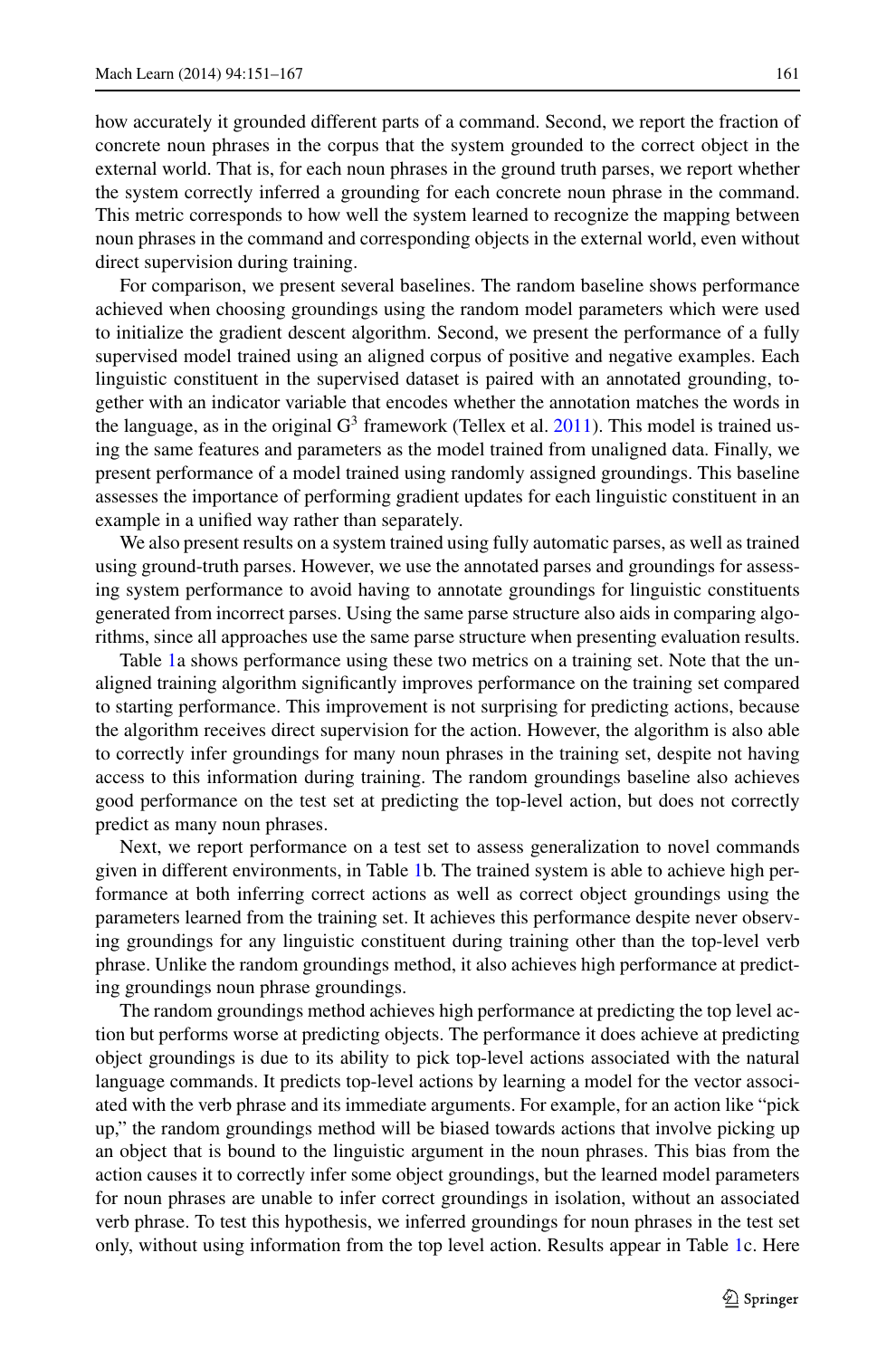how accurately it grounded different parts of a command. Second, we report the fraction of concrete noun phrases in the corpus that the system grounded to the correct object in the external world. That is, for each noun phrases in the ground truth parses, we report whether the system correctly inferred a grounding for each concrete noun phrase in the command. This metric corresponds to how well the system learned to recognize the mapping between noun phrases in the command and corresponding objects in the external world, even without direct supervision during training.

For comparison, we present several baselines. The random baseline shows performance achieved when choosing groundings using the random model parameters which were used to initialize the gradient descent algorithm. Second, we present the performance of a fully supervised model trained using an aligned corpus of positive and negative examples. Each linguistic constituent in the supervised dataset is paired with an annotated grounding, together with an indicator variable that encodes whether the annotation matches the words in the language, as in the original  $G<sup>3</sup>$  framework (Tellex et al. [2011\)](#page-16-5). This model is trained using the same features and parameters as the model trained from unaligned data. Finally, we present performance of a model trained using randomly assigned groundings. This baseline assesses the importance of performing gradient updates for each linguistic constituent in an example in a unified way rather than separately.

We also present results on a system trained using fully automatic parses, as well as trained using ground-truth parses. However, we use the annotated parses and groundings for assessing system performance to avoid having to annotate groundings for linguistic constituents generated from incorrect parses. Using the same parse structure also aids in comparing algorithms, since all approaches use the same parse structure when presenting evaluation results.

Table [1a](#page-11-0) shows performance using these two metrics on a training set. Note that the unaligned training algorithm significantly improves performance on the training set compared to starting performance. This improvement is not surprising for predicting actions, because the algorithm receives direct supervision for the action. However, the algorithm is also able to correctly infer groundings for many noun phrases in the training set, despite not having access to this information during training. The random groundings baseline also achieves good performance on the test set at predicting the top-level action, but does not correctly predict as many noun phrases.

Next, we report performance on a test set to assess generalization to novel commands given in different environments, in Table [1b](#page-11-0). The trained system is able to achieve high performance at both inferring correct actions as well as correct object groundings using the parameters learned from the training set. It achieves this performance despite never observing groundings for any linguistic constituent during training other than the top-level verb phrase. Unlike the random groundings method, it also achieves high performance at predicting groundings noun phrase groundings.

The random groundings method achieves high performance at predicting the top level action but performs worse at predicting objects. The performance it does achieve at predicting object groundings is due to its ability to pick top-level actions associated with the natural language commands. It predicts top-level actions by learning a model for the vector associated with the verb phrase and its immediate arguments. For example, for an action like "pick up," the random groundings method will be biased towards actions that involve picking up an object that is bound to the linguistic argument in the noun phrases. This bias from the action causes it to correctly infer some object groundings, but the learned model parameters for noun phrases are unable to infer correct groundings in isolation, without an associated verb phrase. To test this hypothesis, we inferred groundings for noun phrases in the test set only, without using information from the top level action. Results appear in Table [1c](#page-11-0). Here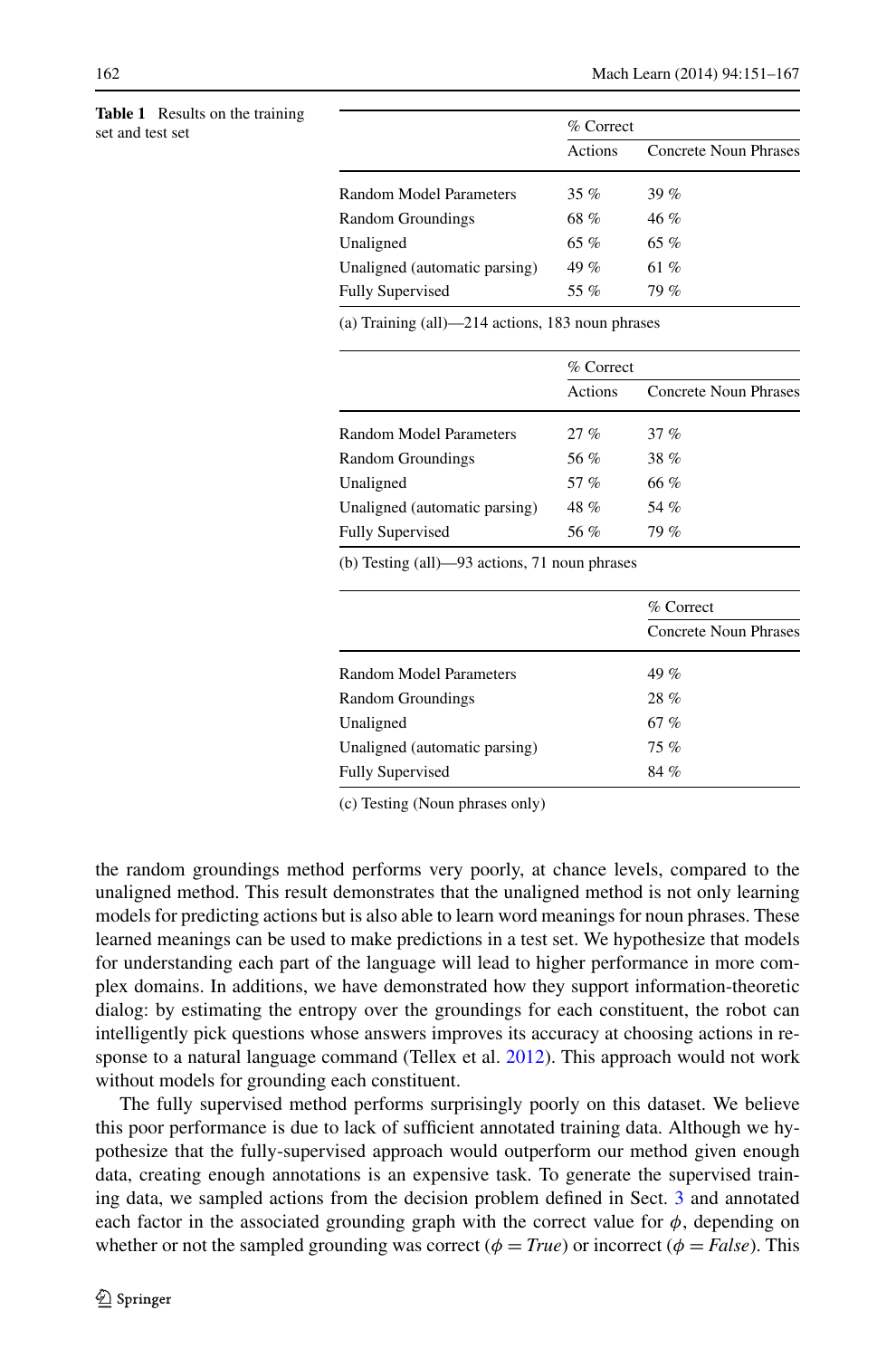|                               | $%$ Correct |                       |
|-------------------------------|-------------|-----------------------|
|                               | Actions     | Concrete Noun Phrases |
| Random Model Parameters       | $35\%$      | 39%                   |
| Random Groundings             | 68%         | 46%                   |
| Unaligned                     | 65 %        | 65 %                  |
| Unaligned (automatic parsing) | $49\%$      | 61 %                  |
| <b>Fully Supervised</b>       | 55%         | 79 %                  |

(a) Training (all)—214 actions, 183 noun phrases

|                               | $%$ Correct |                              |
|-------------------------------|-------------|------------------------------|
|                               | Actions     | <b>Concrete Noun Phrases</b> |
| Random Model Parameters       | 27%         | 37%                          |
| Random Groundings             | 56 %        | 38%                          |
| Unaligned                     | 57%         | 66 %                         |
| Unaligned (automatic parsing) | 48%         | 54 %                         |
| <b>Fully Supervised</b>       | 56 %        | 79%                          |
|                               |             |                              |

(b) Testing (all)—93 actions, 71 noun phrases

|                               | $%$ Correct<br><b>Concrete Noun Phrases</b> |  |
|-------------------------------|---------------------------------------------|--|
|                               |                                             |  |
| Random Model Parameters       | 49%                                         |  |
| Random Groundings             | 28%                                         |  |
| Unaligned                     | 67%                                         |  |
| Unaligned (automatic parsing) | 75%                                         |  |
| <b>Fully Supervised</b>       | 84 %                                        |  |
|                               |                                             |  |

(c) Testing (Noun phrases only)

the random groundings method performs very poorly, at chance levels, compared to the unaligned method. This result demonstrates that the unaligned method is not only learning models for predicting actions but is also able to learn word meanings for noun phrases. These learned meanings can be used to make predictions in a test set. We hypothesize that models for understanding each part of the language will lead to higher performance in more complex domains. In additions, we have demonstrated how they support information-theoretic dialog: by estimating the entropy over the groundings for each constituent, the robot can intelligently pick questions whose answers improves its accuracy at choosing actions in re-sponse to a natural language command (Tellex et al. [2012](#page-16-8)). This approach would not work without models for grounding each constituent.

The fully supervised method performs surprisingly poorly on this dataset. We believe this poor performance is due to lack of sufficient annotated training data. Although we hypothesize that the fully-supervised approach would outperform our method given enough data, creating enough annotations is an expensive task. To generate the supervised training data, we sampled actions from the decision problem defined in Sect. [3](#page-5-0) and annotated each factor in the associated grounding graph with the correct value for  $\phi$ , depending on whether or not the sampled grounding was correct ( $\phi = True$ ) or incorrect ( $\phi = False$ ). This

<span id="page-11-0"></span>**Table 1** Results on the training set and test set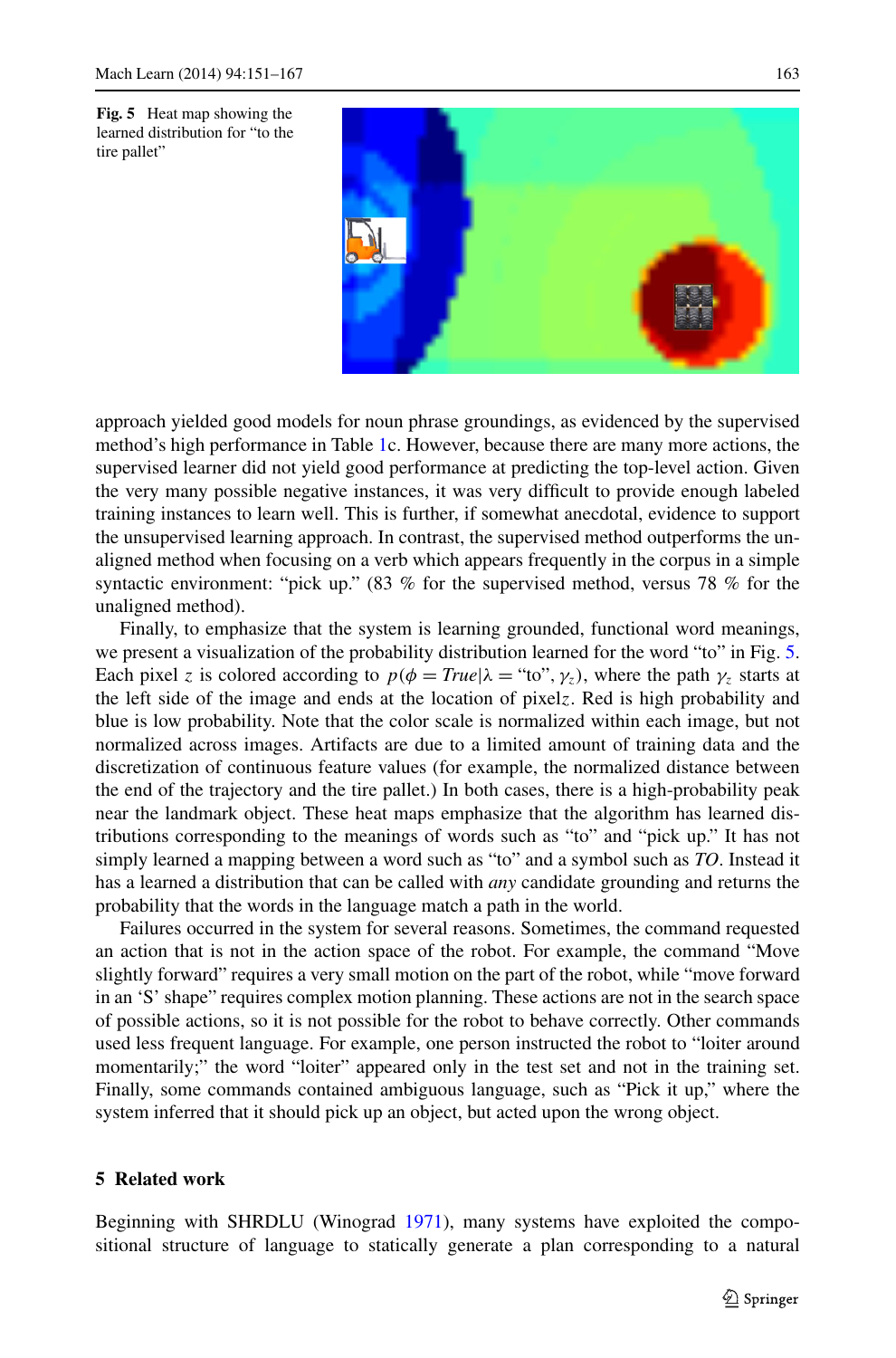<span id="page-12-0"></span>**Fig. 5** Heat map showing the learned distribution for "to the tire pallet"



approach yielded good models for noun phrase groundings, as evidenced by the supervised method's high performance in Table [1](#page-11-0)c. However, because there are many more actions, the supervised learner did not yield good performance at predicting the top-level action. Given the very many possible negative instances, it was very difficult to provide enough labeled training instances to learn well. This is further, if somewhat anecdotal, evidence to support the unsupervised learning approach. In contrast, the supervised method outperforms the unaligned method when focusing on a verb which appears frequently in the corpus in a simple syntactic environment: "pick up." (83 % for the supervised method, versus 78 % for the unaligned method).

Finally, to emphasize that the system is learning grounded, functional word meanings, we present a visualization of the probability distribution learned for the word "to" in Fig. [5](#page-12-0). Each pixel *z* is colored according to  $p(\phi = True | \lambda = "to", \gamma_z)$ , where the path  $\gamma_z$  starts at the left side of the image and ends at the location of pixel*z*. Red is high probability and blue is low probability. Note that the color scale is normalized within each image, but not normalized across images. Artifacts are due to a limited amount of training data and the discretization of continuous feature values (for example, the normalized distance between the end of the trajectory and the tire pallet.) In both cases, there is a high-probability peak near the landmark object. These heat maps emphasize that the algorithm has learned distributions corresponding to the meanings of words such as "to" and "pick up." It has not simply learned a mapping between a word such as "to" and a symbol such as *TO*. Instead it has a learned a distribution that can be called with *any* candidate grounding and returns the probability that the words in the language match a path in the world.

Failures occurred in the system for several reasons. Sometimes, the command requested an action that is not in the action space of the robot. For example, the command "Move slightly forward" requires a very small motion on the part of the robot, while "move forward in an 'S' shape" requires complex motion planning. These actions are not in the search space of possible actions, so it is not possible for the robot to behave correctly. Other commands used less frequent language. For example, one person instructed the robot to "loiter around momentarily;" the word "loiter" appeared only in the test set and not in the training set. Finally, some commands contained ambiguous language, such as "Pick it up," where the system inferred that it should pick up an object, but acted upon the wrong object.

## **5 Related work**

Beginning with SHRDLU (Winograd [1971](#page-16-0)), many systems have exploited the compositional structure of language to statically generate a plan corresponding to a natural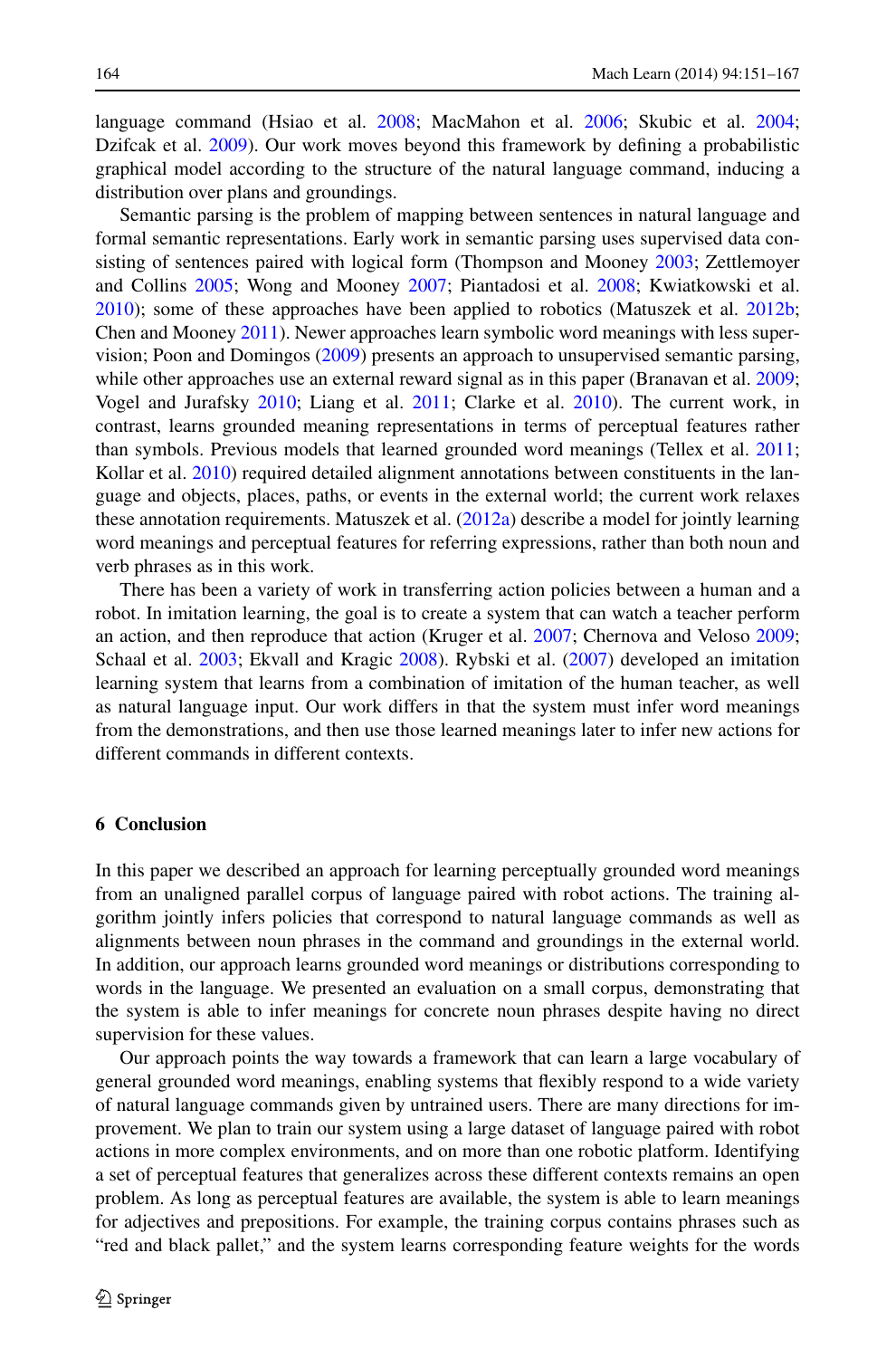language command (Hsiao et al. [2008](#page-15-1); MacMahon et al. [2006;](#page-16-1) Skubic et al. [2004;](#page-16-9) Dzifcak et al. [2009](#page-15-6)). Our work moves beyond this framework by defining a probabilistic graphical model according to the structure of the natural language command, inducing a distribution over plans and groundings.

Semantic parsing is the problem of mapping between sentences in natural language and formal semantic representations. Early work in semantic parsing uses supervised data consisting of sentences paired with logical form (Thompson and Mooney [2003](#page-16-10); Zettlemoyer and Collins [2005;](#page-16-11) Wong and Mooney [2007](#page-16-12); Piantadosi et al. [2008;](#page-16-13) Kwiatkowski et al. [2010\)](#page-15-7); some of these approaches have been applied to robotics (Matuszek et al. [2012b;](#page-16-14) Chen and Mooney [2011](#page-15-0)). Newer approaches learn symbolic word meanings with less supervision; Poon and Domingos ([2009\)](#page-16-15) presents an approach to unsupervised semantic parsing, while other approaches use an external reward signal as in this paper (Branavan et al. [2009;](#page-15-3) Vogel and Jurafsky [2010](#page-16-6); Liang et al. [2011](#page-16-3); Clarke et al. [2010](#page-15-8)). The current work, in contrast, learns grounded meaning representations in terms of perceptual features rather than symbols. Previous models that learned grounded word meanings (Tellex et al. [2011;](#page-16-5) Kollar et al. [2010](#page-15-2)) required detailed alignment annotations between constituents in the language and objects, places, paths, or events in the external world; the current work relaxes these annotation requirements. Matuszek et al. [\(2012a](#page-16-16)) describe a model for jointly learning word meanings and perceptual features for referring expressions, rather than both noun and verb phrases as in this work.

There has been a variety of work in transferring action policies between a human and a robot. In imitation learning, the goal is to create a system that can watch a teacher perform an action, and then reproduce that action (Kruger et al. [2007;](#page-15-9) Chernova and Veloso [2009;](#page-15-10) Schaal et al. [2003;](#page-16-17) Ekvall and Kragic [2008\)](#page-15-11). Rybski et al. [\(2007](#page-16-18)) developed an imitation learning system that learns from a combination of imitation of the human teacher, as well as natural language input. Our work differs in that the system must infer word meanings from the demonstrations, and then use those learned meanings later to infer new actions for different commands in different contexts.

### **6 Conclusion**

In this paper we described an approach for learning perceptually grounded word meanings from an unaligned parallel corpus of language paired with robot actions. The training algorithm jointly infers policies that correspond to natural language commands as well as alignments between noun phrases in the command and groundings in the external world. In addition, our approach learns grounded word meanings or distributions corresponding to words in the language. We presented an evaluation on a small corpus, demonstrating that the system is able to infer meanings for concrete noun phrases despite having no direct supervision for these values.

Our approach points the way towards a framework that can learn a large vocabulary of general grounded word meanings, enabling systems that flexibly respond to a wide variety of natural language commands given by untrained users. There are many directions for improvement. We plan to train our system using a large dataset of language paired with robot actions in more complex environments, and on more than one robotic platform. Identifying a set of perceptual features that generalizes across these different contexts remains an open problem. As long as perceptual features are available, the system is able to learn meanings for adjectives and prepositions. For example, the training corpus contains phrases such as "red and black pallet," and the system learns corresponding feature weights for the words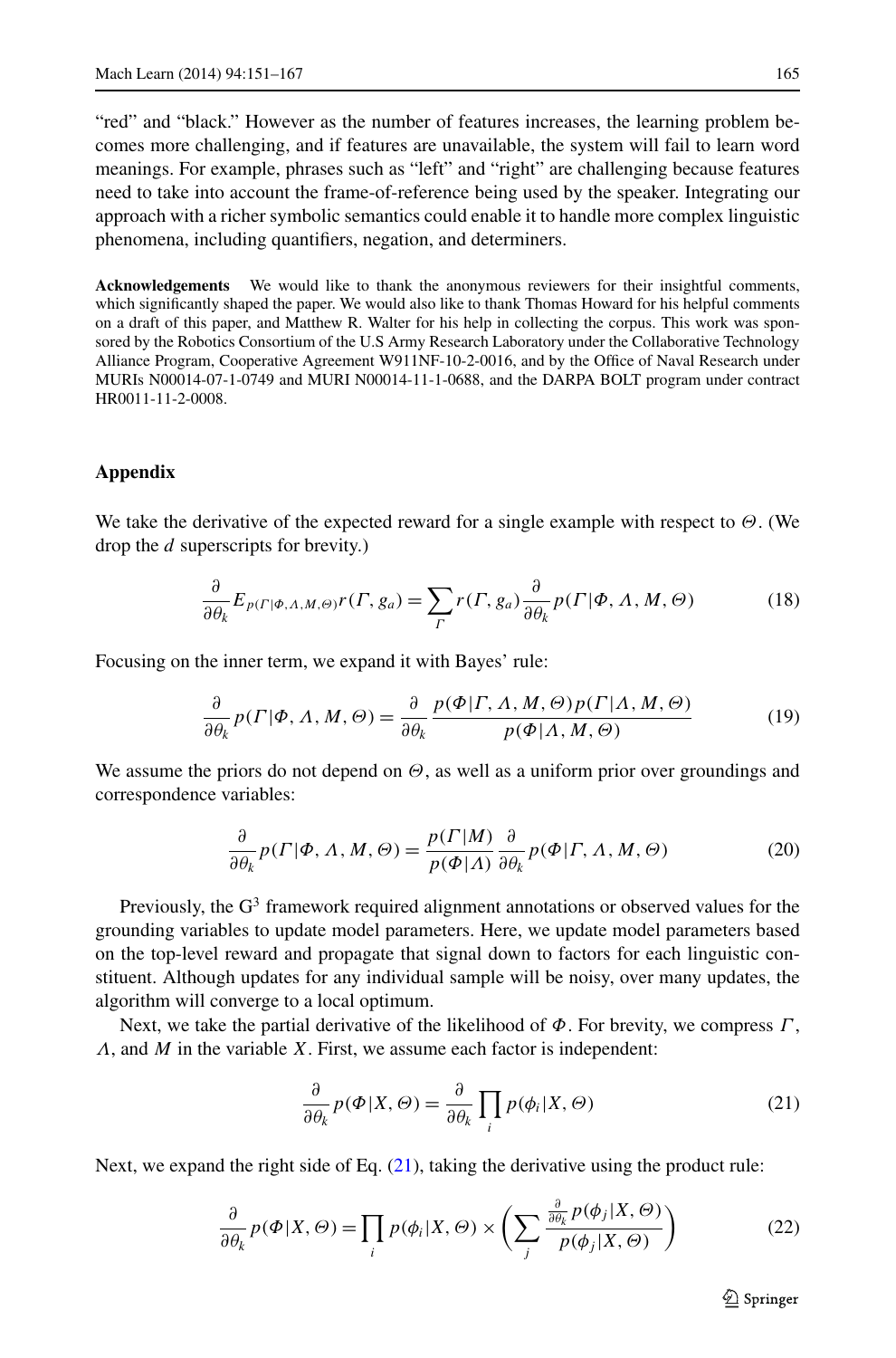"red" and "black." However as the number of features increases, the learning problem becomes more challenging, and if features are unavailable, the system will fail to learn word meanings. For example, phrases such as "left" and "right" are challenging because features need to take into account the frame-of-reference being used by the speaker. Integrating our approach with a richer symbolic semantics could enable it to handle more complex linguistic phenomena, including quantifiers, negation, and determiners.

<span id="page-14-0"></span>**Acknowledgements** We would like to thank the anonymous reviewers for their insightful comments, which significantly shaped the paper. We would also like to thank Thomas Howard for his helpful comments on a draft of this paper, and Matthew R. Walter for his help in collecting the corpus. This work was sponsored by the Robotics Consortium of the U.S Army Research Laboratory under the Collaborative Technology Alliance Program, Cooperative Agreement W911NF-10-2-0016, and by the Office of Naval Research under MURIs N00014-07-1-0749 and MURI N00014-11-1-0688, and the DARPA BOLT program under contract HR0011-11-2-0008.

## **Appendix**

We take the derivative of the expected reward for a single example with respect to *Θ*. (We drop the *d* superscripts for brevity.)

$$
\frac{\partial}{\partial \theta_k} E_{p(\Gamma|\Phi,\Lambda,M,\Theta)} r(\Gamma,g_a) = \sum_{\Gamma} r(\Gamma,g_a) \frac{\partial}{\partial \theta_k} p(\Gamma|\Phi,\Lambda,M,\Theta) \tag{18}
$$

Focusing on the inner term, we expand it with Bayes' rule:

<span id="page-14-2"></span>
$$
\frac{\partial}{\partial \theta_k} p(\Gamma | \Phi, \Lambda, M, \Theta) = \frac{\partial}{\partial \theta_k} \frac{p(\Phi | \Gamma, \Lambda, M, \Theta) p(\Gamma | \Lambda, M, \Theta)}{p(\Phi | \Lambda, M, \Theta)}
$$
(19)

We assume the priors do not depend on *Θ*, as well as a uniform prior over groundings and correspondence variables:

$$
\frac{\partial}{\partial \theta_k} p(\Gamma | \Phi, \Lambda, M, \Theta) = \frac{p(\Gamma | M)}{p(\Phi | \Lambda)} \frac{\partial}{\partial \theta_k} p(\Phi | \Gamma, \Lambda, M, \Theta)
$$
(20)

Previously, the  $G<sup>3</sup>$  framework required alignment annotations or observed values for the grounding variables to update model parameters. Here, we update model parameters based on the top-level reward and propagate that signal down to factors for each linguistic constituent. Although updates for any individual sample will be noisy, over many updates, the algorithm will converge to a local optimum.

Next, we take the partial derivative of the likelihood of *Φ*. For brevity, we compress *Γ* , *Λ*, and *M* in the variable *X*. First, we assume each factor is independent:

$$
\frac{\partial}{\partial \theta_k} p(\Phi|X,\Theta) = \frac{\partial}{\partial \theta_k} \prod_i p(\phi_i|X,\Theta)
$$
\n(21)

Next, we expand the right side of Eq.  $(21)$ , taking the derivative using the product rule:

$$
\frac{\partial}{\partial \theta_k} p(\Phi|X,\Theta) = \prod_i p(\phi_i|X,\Theta) \times \left(\sum_j \frac{\frac{\partial}{\partial \theta_k} p(\phi_j|X,\Theta)}{p(\phi_j|X,\Theta)}\right)
$$
(22)

<span id="page-14-1"></span> $\mathcal{D}$  Springer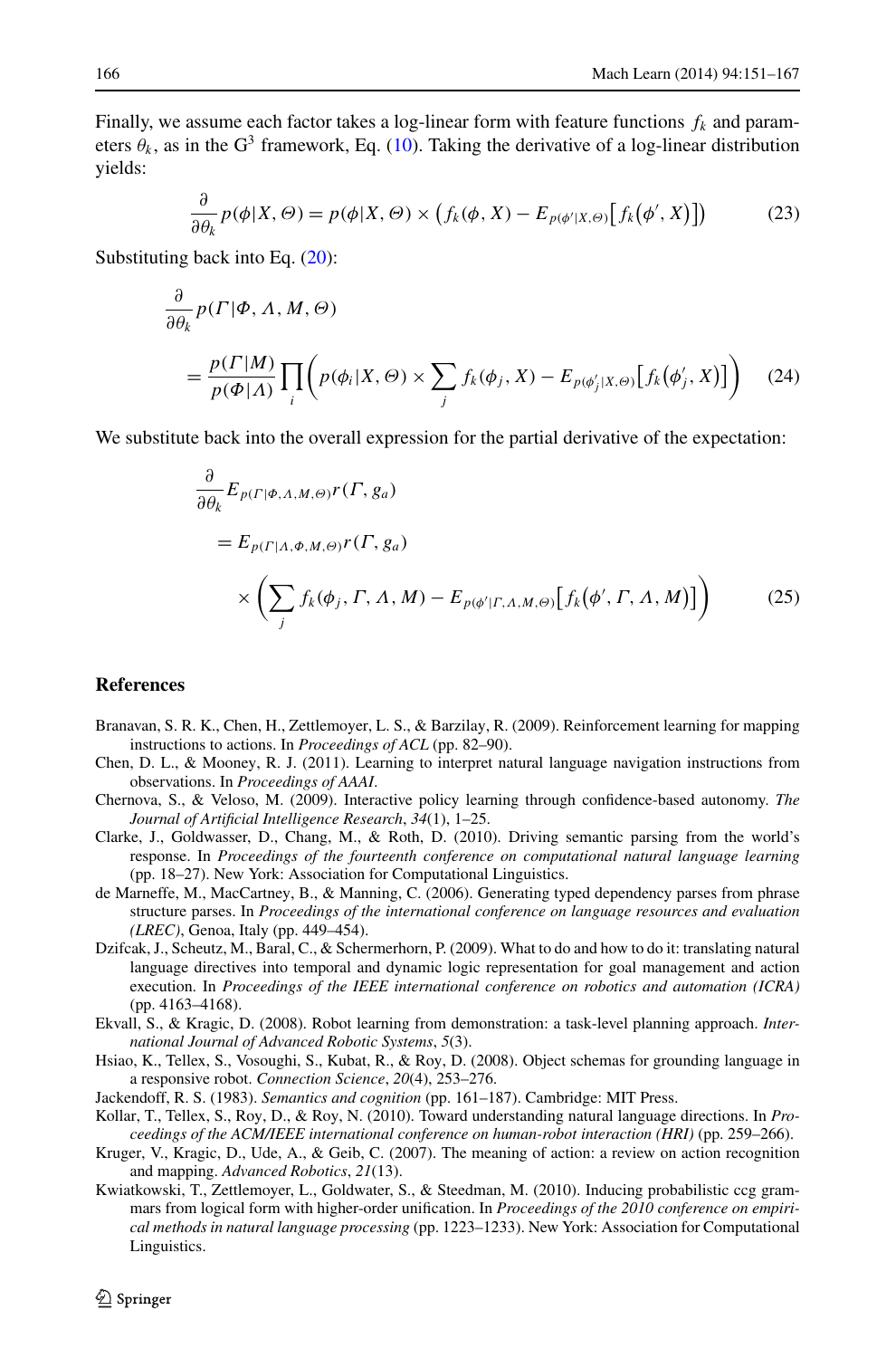Finally, we assume each factor takes a log-linear form with feature functions  $f_k$  and parameters  $\theta_k$ , as in the G<sup>3</sup> framework, Eq. ([10](#page-5-1)). Taking the derivative of a log-linear distribution yields:

$$
\frac{\partial}{\partial \theta_k} p(\phi|X,\Theta) = p(\phi|X,\Theta) \times \left( f_k(\phi,X) - E_{p(\phi'|X,\Theta)} \left[ f_k(\phi',X) \right] \right) \tag{23}
$$

Substituting back into Eq.  $(20)$  $(20)$  $(20)$ :

$$
\frac{\partial}{\partial \theta_k} p(\Gamma | \Phi, \Lambda, M, \Theta)
$$
\n
$$
= \frac{p(\Gamma | M)}{p(\Phi | \Lambda)} \prod_i \left( p(\phi_i | X, \Theta) \times \sum_j f_k(\phi_j, X) - E_{p(\phi'_j | X, \Theta)} [f_k(\phi'_j, X)] \right) \tag{24}
$$

<span id="page-15-3"></span>We substitute back into the overall expression for the partial derivative of the expectation:

$$
\frac{\partial}{\partial \theta_k} E_{p(\Gamma|\phi, \Lambda, M, \Theta)} r(\Gamma, g_a)
$$
\n
$$
= E_{p(\Gamma|\Lambda, \Phi, M, \Theta)} r(\Gamma, g_a)
$$
\n
$$
\times \left( \sum_j f_k(\phi_j, \Gamma, \Lambda, M) - E_{p(\phi'|\Gamma, \Lambda, M, \Theta)} \left[ f_k(\phi', \Gamma, \Lambda, M) \right] \right) \tag{25}
$$

#### <span id="page-15-10"></span><span id="page-15-8"></span><span id="page-15-5"></span><span id="page-15-0"></span>**References**

- Branavan, S. R. K., Chen, H., Zettlemoyer, L. S., & Barzilay, R. (2009). Reinforcement learning for mapping instructions to actions. In *Proceedings of ACL* (pp. 82–90).
- <span id="page-15-6"></span>Chen, D. L., & Mooney, R. J. (2011). Learning to interpret natural language navigation instructions from observations. In *Proceedings of AAAI*.
- Chernova, S., & Veloso, M. (2009). Interactive policy learning through confidence-based autonomy. *The Journal of Artificial Intelligence Research*, *34*(1), 1–25.
- <span id="page-15-11"></span>Clarke, J., Goldwasser, D., Chang, M., & Roth, D. (2010). Driving semantic parsing from the world's response. In *Proceedings of the fourteenth conference on computational natural language learning* (pp. 18–27). New York: Association for Computational Linguistics.
- <span id="page-15-4"></span><span id="page-15-1"></span>de Marneffe, M., MacCartney, B., & Manning, C. (2006). Generating typed dependency parses from phrase structure parses. In *Proceedings of the international conference on language resources and evaluation (LREC)*, Genoa, Italy (pp. 449–454).
- <span id="page-15-9"></span><span id="page-15-2"></span>Dzifcak, J., Scheutz, M., Baral, C., & Schermerhorn, P. (2009). What to do and how to do it: translating natural language directives into temporal and dynamic logic representation for goal management and action execution. In *Proceedings of the IEEE international conference on robotics and automation (ICRA)* (pp. 4163–4168).
- <span id="page-15-7"></span>Ekvall, S., & Kragic, D. (2008). Robot learning from demonstration: a task-level planning approach. *International Journal of Advanced Robotic Systems*, *5*(3).
- Hsiao, K., Tellex, S., Vosoughi, S., Kubat, R., & Roy, D. (2008). Object schemas for grounding language in a responsive robot. *Connection Science*, *20*(4), 253–276.
- Jackendoff, R. S. (1983). *Semantics and cognition* (pp. 161–187). Cambridge: MIT Press.
- Kollar, T., Tellex, S., Roy, D., & Roy, N. (2010). Toward understanding natural language directions. In *Proceedings of the ACM/IEEE international conference on human-robot interaction (HRI)* (pp. 259–266).
- Kruger, V., Kragic, D., Ude, A., & Geib, C. (2007). The meaning of action: a review on action recognition and mapping. *Advanced Robotics*, *21*(13).
- Kwiatkowski, T., Zettlemoyer, L., Goldwater, S., & Steedman, M. (2010). Inducing probabilistic ccg grammars from logical form with higher-order unification. In *Proceedings of the 2010 conference on empirical methods in natural language processing* (pp. 1223–1233). New York: Association for Computational Linguistics.